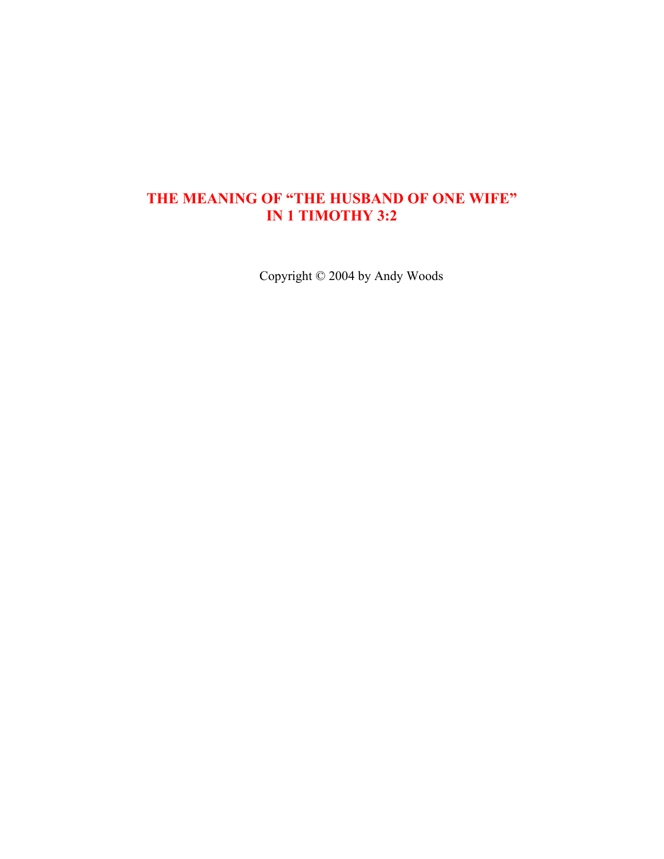# **THE MEANING OF "THE HUSBAND OF ONE WIFE" IN 1 TIMOTHY 3:2**

Copyright © 2004 by Andy Woods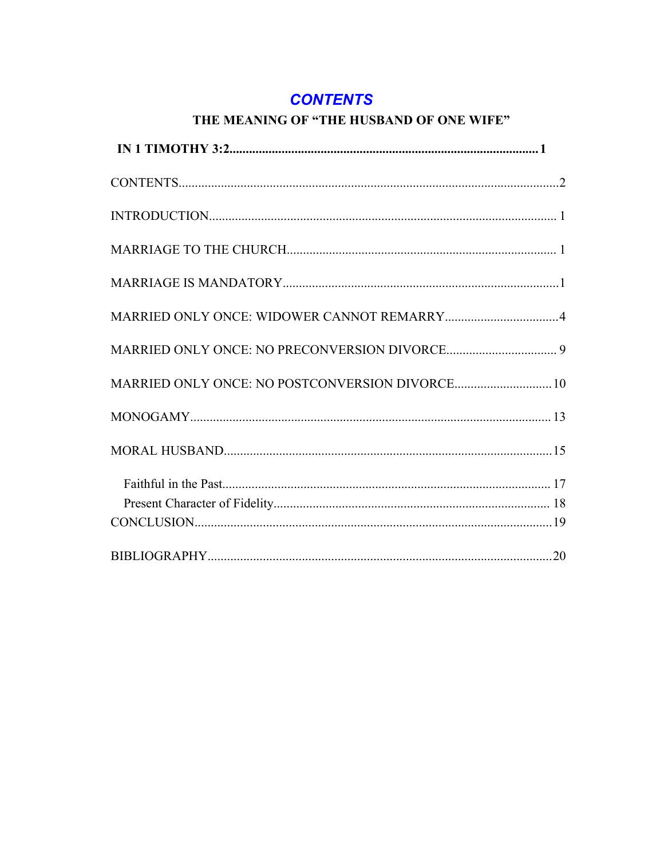# **CONTENTS**

# THE MEANING OF "THE HUSBAND OF ONE WIFE"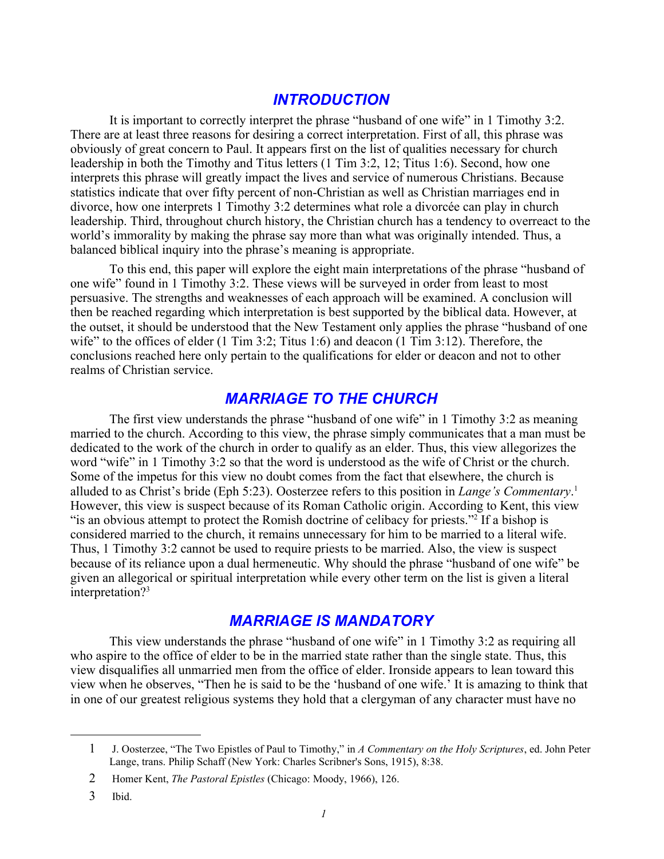# *INTRODUCTION*

It is important to correctly interpret the phrase "husband of one wife" in 1 Timothy 3:2. There are at least three reasons for desiring a correct interpretation. First of all, this phrase was obviously of great concern to Paul. It appears first on the list of qualities necessary for church leadership in both the Timothy and Titus letters (1 Tim 3:2, 12; Titus 1:6). Second, how one interprets this phrase will greatly impact the lives and service of numerous Christians. Because statistics indicate that over fifty percent of non-Christian as well as Christian marriages end in divorce, how one interprets 1 Timothy 3:2 determines what role a divorcée can play in church leadership. Third, throughout church history, the Christian church has a tendency to overreact to the world's immorality by making the phrase say more than what was originally intended. Thus, a balanced biblical inquiry into the phrase's meaning is appropriate.

To this end, this paper will explore the eight main interpretations of the phrase "husband of one wife" found in 1 Timothy 3:2. These views will be surveyed in order from least to most persuasive. The strengths and weaknesses of each approach will be examined. A conclusion will then be reached regarding which interpretation is best supported by the biblical data. However, at the outset, it should be understood that the New Testament only applies the phrase "husband of one wife" to the offices of elder  $(1 \text{ Tim } 3:2; \text{ Titus } 1:6)$  and deacon  $(1 \text{ Tim } 3:12)$ . Therefore, the conclusions reached here only pertain to the qualifications for elder or deacon and not to other realms of Christian service.

# *MARRIAGE TO THE CHURCH*

The first view understands the phrase "husband of one wife" in 1 Timothy 3:2 as meaning married to the church. According to this view, the phrase simply communicates that a man must be dedicated to the work of the church in order to qualify as an elder. Thus, this view allegorizes the word "wife" in 1 Timothy 3:2 so that the word is understood as the wife of Christ or the church. Some of the impetus for this view no doubt comes from the fact that elsewhere, the church is alluded to as Christ's bride (Eph 5:23). Oosterzee refers to this position in *Lange's Commentary*. [1](#page-2-0) However, this view is suspect because of its Roman Catholic origin. According to Kent, this view "is an obvious attempt to protect the Romish doctrine of celibacy for priests."<sup>[2](#page-2-1)</sup> If a bishop is considered married to the church, it remains unnecessary for him to be married to a literal wife. Thus, 1 Timothy 3:2 cannot be used to require priests to be married. Also, the view is suspect because of its reliance upon a dual hermeneutic. Why should the phrase "husband of one wife" be given an allegorical or spiritual interpretation while every other term on the list is given a literal interpretation?[3](#page-2-2)

# *MARRIAGE IS MANDATORY*

This view understands the phrase "husband of one wife" in 1 Timothy 3:2 as requiring all who aspire to the office of elder to be in the married state rather than the single state. Thus, this view disqualifies all unmarried men from the office of elder. Ironside appears to lean toward this view when he observes, "Then he is said to be the 'husband of one wife.' It is amazing to think that in one of our greatest religious systems they hold that a clergyman of any character must have no

<span id="page-2-0"></span><sup>1</sup> J. Oosterzee, "The Two Epistles of Paul to Timothy," in *A Commentary on the Holy Scriptures*, ed. John Peter Lange, trans. Philip Schaff (New York: Charles Scribner's Sons, 1915), 8:38.

<span id="page-2-1"></span><sup>2</sup> Homer Kent, *The Pastoral Epistles* (Chicago: Moody, 1966), 126.

<span id="page-2-2"></span><sup>3</sup> Ibid.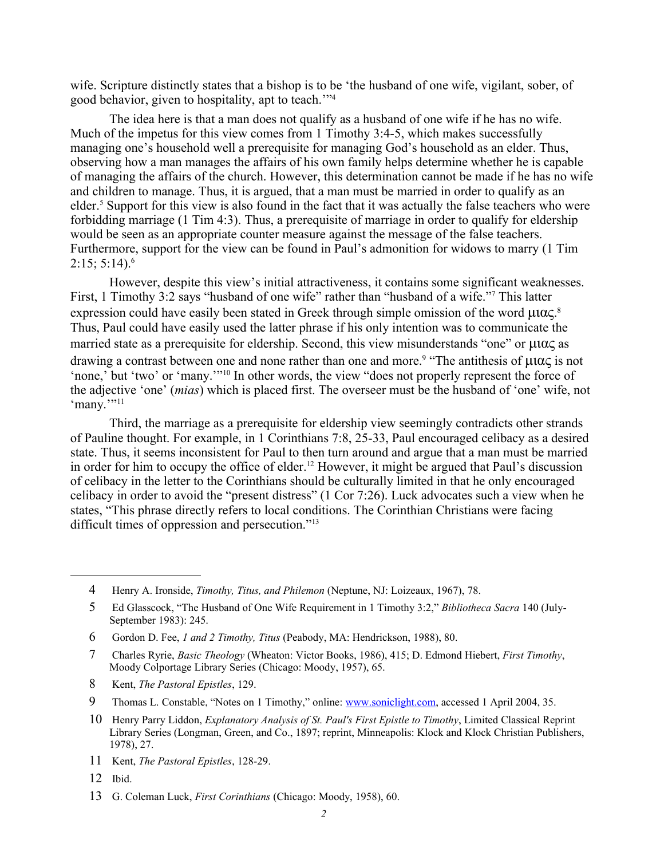wife. Scripture distinctly states that a bishop is to be 'the husband of one wife, vigilant, sober, of good behavior, given to hospitality, apt to teach.'"[4](#page-3-0)

The idea here is that a man does not qualify as a husband of one wife if he has no wife. Much of the impetus for this view comes from 1 Timothy 3:4-5, which makes successfully managing one's household well a prerequisite for managing God's household as an elder. Thus, observing how a man manages the affairs of his own family helps determine whether he is capable of managing the affairs of the church. However, this determination cannot be made if he has no wife and children to manage. Thus, it is argued, that a man must be married in order to qualify as an elder.<sup>[5](#page-3-1)</sup> Support for this view is also found in the fact that it was actually the false teachers who were forbidding marriage (1 Tim 4:3). Thus, a prerequisite of marriage in order to qualify for eldership would be seen as an appropriate counter measure against the message of the false teachers. Furthermore, support for the view can be found in Paul's admonition for widows to marry (1 Tim  $2:15:5:14.6$  $2:15:5:14.6$ 

However, despite this view's initial attractiveness, it contains some significant weaknesses. First, 1 Timothy 3:2 says "husband of one wife" rather than "husband of a wife."<sup>[7](#page-3-3)</sup> This latter expression could have easily been stated in Greek through simple omission of the word  $\mu$ u $\alpha$ s.<sup>[8](#page-3-4)</sup> Thus, Paul could have easily used the latter phrase if his only intention was to communicate the married state as a prerequisite for eldership. Second, this view misunderstands "one" or  $\mu$  $\alpha$  $\alpha$  as drawing a contrast between one and none rather than one and more.<sup>[9](#page-3-5)</sup> "The antithesis of  $\mu$ u $\alpha$  $\zeta$  is not 'none,' but 'two' or 'many.'"<sup>[10](#page-3-6)</sup> In other words, the view "does not properly represent the force of the adjective 'one' (*mias*) which is placed first. The overseer must be the husband of 'one' wife, not 'many.""<sup>[11](#page-3-7)</sup>

Third, the marriage as a prerequisite for eldership view seemingly contradicts other strands of Pauline thought. For example, in 1 Corinthians 7:8, 25-33, Paul encouraged celibacy as a desired state. Thus, it seems inconsistent for Paul to then turn around and argue that a man must be married in order for him to occupy the office of elder.<sup>[12](#page-3-8)</sup> However, it might be argued that Paul's discussion of celibacy in the letter to the Corinthians should be culturally limited in that he only encouraged celibacy in order to avoid the "present distress" (1 Cor 7:26). Luck advocates such a view when he states, "This phrase directly refers to local conditions. The Corinthian Christians were facing difficult times of oppression and persecution."[13](#page-3-9)

- <span id="page-3-4"></span>8 Kent, *The Pastoral Epistles*, 129.
- <span id="page-3-5"></span>9 Thomas L. Constable, "Notes on 1 Timothy," online: [www.soniclight.com,](http://www.soniclight.com/) accessed 1 April 2004, 35.
- <span id="page-3-6"></span>10 Henry Parry Liddon, *Explanatory Analysis of St. Paul's First Epistle to Timothy*, Limited Classical Reprint Library Series (Longman, Green, and Co., 1897; reprint, Minneapolis: Klock and Klock Christian Publishers, 1978), 27.
- <span id="page-3-7"></span>11 Kent, *The Pastoral Epistles*, 128-29.
- <span id="page-3-8"></span>12 Ibid.
- <span id="page-3-9"></span>13 G. Coleman Luck, *First Corinthians* (Chicago: Moody, 1958), 60.

<span id="page-3-0"></span><sup>4</sup> Henry A. Ironside, *Timothy, Titus, and Philemon* (Neptune, NJ: Loizeaux, 1967), 78.

<span id="page-3-1"></span><sup>5</sup> Ed Glasscock, "The Husband of One Wife Requirement in 1 Timothy 3:2," *Bibliotheca Sacra* 140 (July-September 1983): 245.

<span id="page-3-2"></span><sup>6</sup> Gordon D. Fee, *1 and 2 Timothy, Titus* (Peabody, MA: Hendrickson, 1988), 80.

<span id="page-3-3"></span><sup>7</sup> Charles Ryrie, *Basic Theology* (Wheaton: Victor Books, 1986), 415; D. Edmond Hiebert, *First Timothy*, Moody Colportage Library Series (Chicago: Moody, 1957), 65.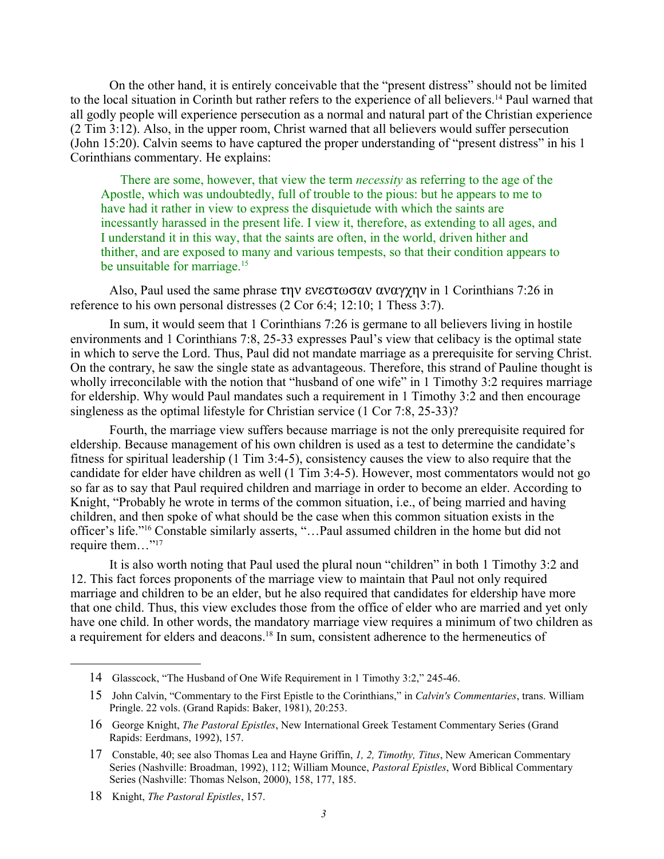On the other hand, it is entirely conceivable that the "present distress" should not be limited to the local situation in Corinth but rather refers to the experience of all believers.[14](#page-4-0) Paul warned that all godly people will experience persecution as a normal and natural part of the Christian experience (2 Tim 3:12). Also, in the upper room, Christ warned that all believers would suffer persecution (John 15:20). Calvin seems to have captured the proper understanding of "present distress" in his 1 Corinthians commentary. He explains:

There are some, however, that view the term *necessity* as referring to the age of the Apostle, which was undoubtedly, full of trouble to the pious: but he appears to me to have had it rather in view to express the disquietude with which the saints are incessantly harassed in the present life. I view it, therefore, as extending to all ages, and I understand it in this way, that the saints are often, in the world, driven hither and thither, and are exposed to many and various tempests, so that their condition appears to be unsuitable for marriage.<sup>[15](#page-4-1)</sup>

Also, Paul used the same phrase  $\tau \eta v$  ενεστωσαν αναγχην in 1 Corinthians 7:26 in reference to his own personal distresses (2 Cor 6:4; 12:10; 1 Thess 3:7).

In sum, it would seem that 1 Corinthians 7:26 is germane to all believers living in hostile environments and 1 Corinthians 7:8, 25-33 expresses Paul's view that celibacy is the optimal state in which to serve the Lord. Thus, Paul did not mandate marriage as a prerequisite for serving Christ. On the contrary, he saw the single state as advantageous. Therefore, this strand of Pauline thought is wholly irreconcilable with the notion that "husband of one wife" in 1 Timothy 3:2 requires marriage for eldership. Why would Paul mandates such a requirement in 1 Timothy 3:2 and then encourage singleness as the optimal lifestyle for Christian service (1 Cor 7:8, 25-33)?

Fourth, the marriage view suffers because marriage is not the only prerequisite required for eldership. Because management of his own children is used as a test to determine the candidate's fitness for spiritual leadership (1 Tim 3:4-5), consistency causes the view to also require that the candidate for elder have children as well (1 Tim 3:4-5). However, most commentators would not go so far as to say that Paul required children and marriage in order to become an elder. According to Knight, "Probably he wrote in terms of the common situation, i.e., of being married and having children, and then spoke of what should be the case when this common situation exists in the officer's life."[16](#page-4-2) Constable similarly asserts, "…Paul assumed children in the home but did not require them..."<sup>[17](#page-4-3)</sup>

It is also worth noting that Paul used the plural noun "children" in both 1 Timothy 3:2 and 12. This fact forces proponents of the marriage view to maintain that Paul not only required marriage and children to be an elder, but he also required that candidates for eldership have more that one child. Thus, this view excludes those from the office of elder who are married and yet only have one child. In other words, the mandatory marriage view requires a minimum of two children as a requirement for elders and deacons.<sup>[18](#page-4-4)</sup> In sum, consistent adherence to the hermeneutics of

<span id="page-4-0"></span><sup>14</sup> Glasscock, "The Husband of One Wife Requirement in 1 Timothy 3:2," 245-46.

<span id="page-4-1"></span><sup>15</sup> John Calvin, "Commentary to the First Epistle to the Corinthians," in *Calvin's Commentaries*, trans. William Pringle. 22 vols. (Grand Rapids: Baker, 1981), 20:253.

<span id="page-4-2"></span><sup>16</sup> George Knight, *The Pastoral Epistles*, New International Greek Testament Commentary Series (Grand Rapids: Eerdmans, 1992), 157.

<span id="page-4-3"></span><sup>17</sup> Constable, 40; see also Thomas Lea and Hayne Griffin, *1, 2, Timothy, Titus*, New American Commentary Series (Nashville: Broadman, 1992), 112; William Mounce, *Pastoral Epistles*, Word Biblical Commentary Series (Nashville: Thomas Nelson, 2000), 158, 177, 185.

<span id="page-4-4"></span><sup>18</sup> Knight, *The Pastoral Epistles*, 157.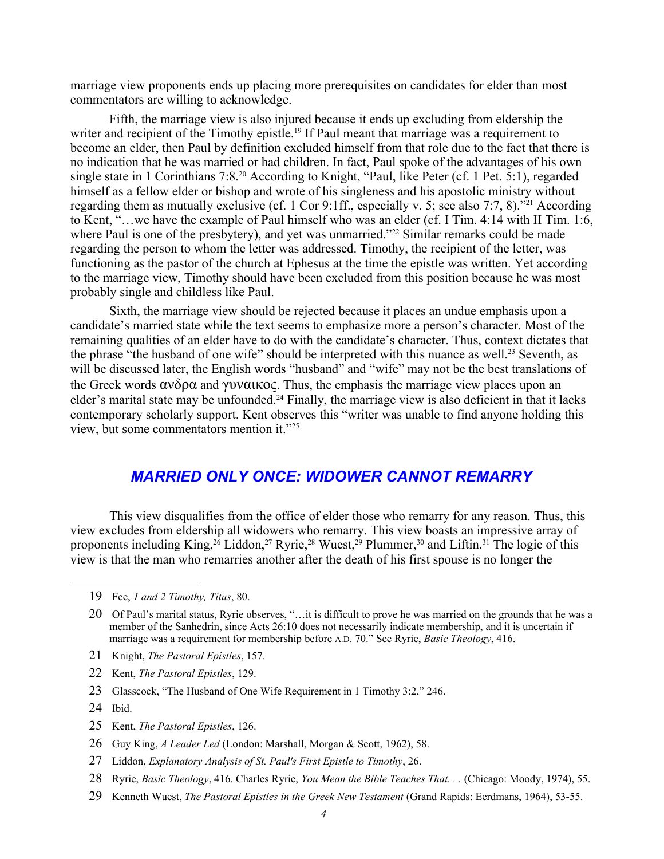marriage view proponents ends up placing more prerequisites on candidates for elder than most commentators are willing to acknowledge.

Fifth, the marriage view is also injured because it ends up excluding from eldership the writer and recipient of the Timothy epistle.<sup>[19](#page-5-0)</sup> If Paul meant that marriage was a requirement to become an elder, then Paul by definition excluded himself from that role due to the fact that there is no indication that he was married or had children. In fact, Paul spoke of the advantages of his own single state in 1 Corinthians 7:8.<sup>[20](#page-5-1)</sup> According to Knight, "Paul, like Peter (cf. 1 Pet. 5:1), regarded himself as a fellow elder or bishop and wrote of his singleness and his apostolic ministry without regarding them as mutually exclusive (cf. 1 Cor 9:1ff., especially v. 5; see also 7:7, 8)."[21](#page-5-2) According to Kent, "…we have the example of Paul himself who was an elder (cf. I Tim. 4:14 with II Tim. 1:6, where Paul is one of the presbytery), and yet was unmarried."<sup>[22](#page-5-3)</sup> Similar remarks could be made regarding the person to whom the letter was addressed. Timothy, the recipient of the letter, was functioning as the pastor of the church at Ephesus at the time the epistle was written. Yet according to the marriage view, Timothy should have been excluded from this position because he was most probably single and childless like Paul.

Sixth, the marriage view should be rejected because it places an undue emphasis upon a candidate's married state while the text seems to emphasize more a person's character. Most of the remaining qualities of an elder have to do with the candidate's character. Thus, context dictates that the phrase "the husband of one wife" should be interpreted with this nuance as well.<sup>[23](#page-5-4)</sup> Seventh, as will be discussed later, the English words "husband" and "wife" may not be the best translations of the Greek words  $\alpha v \delta \rho \alpha$  and  $\gamma \nu \alpha \alpha \kappa \rho \varsigma$ . Thus, the emphasis the marriage view places upon an elder's marital state may be unfounded.<sup>[24](#page-5-5)</sup> Finally, the marriage view is also deficient in that it lacks contemporary scholarly support. Kent observes this "writer was unable to find anyone holding this view, but some commentators mention it."[25](#page-5-6)

#### *MARRIED ONLY ONCE: WIDOWER CANNOT REMARRY*

This view disqualifies from the office of elder those who remarry for any reason. Thus, this view excludes from eldership all widowers who remarry. This view boasts an impressive array of proponents including King,<sup>[26](#page-5-7)</sup> Liddon,<sup>[27](#page-5-8)</sup> Ryrie,<sup>[28](#page-5-9)</sup> Wuest,<sup>[29](#page-5-10)</sup> Plummer,<sup>[30](#page-6-0)</sup> and Liftin.<sup>[31](#page-6-1)</sup> The logic of this view is that the man who remarries another after the death of his first spouse is no longer the

- <span id="page-5-2"></span>21 Knight, *The Pastoral Epistles*, 157.
- <span id="page-5-3"></span>22 Kent, *The Pastoral Epistles*, 129.
- <span id="page-5-4"></span>23 Glasscock, "The Husband of One Wife Requirement in 1 Timothy 3:2," 246.
- <span id="page-5-5"></span>24 Ibid.
- <span id="page-5-6"></span>25 Kent, *The Pastoral Epistles*, 126.
- <span id="page-5-7"></span>26 Guy King, *A Leader Led* (London: Marshall, Morgan & Scott, 1962), 58.
- <span id="page-5-8"></span>27 Liddon, *Explanatory Analysis of St. Paul's First Epistle to Timothy*, 26.
- <span id="page-5-9"></span>28 Ryrie, *Basic Theology*, 416. Charles Ryrie, *You Mean the Bible Teaches That. . .* (Chicago: Moody, 1974), 55.
- <span id="page-5-10"></span>29 Kenneth Wuest, *The Pastoral Epistles in the Greek New Testament* (Grand Rapids: Eerdmans, 1964), 53-55.

<span id="page-5-0"></span><sup>19</sup> Fee, *1 and 2 Timothy, Titus*, 80.

<span id="page-5-1"></span><sup>20</sup> Of Paul's marital status, Ryrie observes, "...it is difficult to prove he was married on the grounds that he was a member of the Sanhedrin, since Acts 26:10 does not necessarily indicate membership, and it is uncertain if marriage was a requirement for membership before A.D. 70." See Ryrie, *Basic Theology*, 416.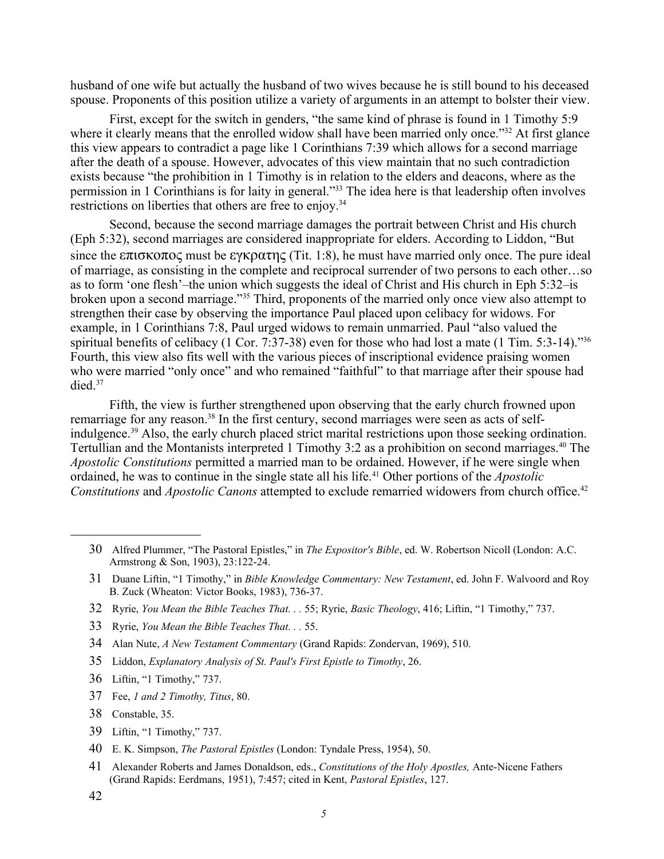husband of one wife but actually the husband of two wives because he is still bound to his deceased spouse. Proponents of this position utilize a variety of arguments in an attempt to bolster their view.

First, except for the switch in genders, "the same kind of phrase is found in 1 Timothy 5:9 where it clearly means that the enrolled widow shall have been married only once."<sup>[32](#page-6-2)</sup> At first glance this view appears to contradict a page like 1 Corinthians 7:39 which allows for a second marriage after the death of a spouse. However, advocates of this view maintain that no such contradiction exists because "the prohibition in 1 Timothy is in relation to the elders and deacons, where as the permission in 1 Corinthians is for laity in general."[33](#page-6-3) The idea here is that leadership often involves restrictions on liberties that others are free to enjoy.<sup>[34](#page-6-4)</sup>

Second, because the second marriage damages the portrait between Christ and His church (Eph 5:32), second marriages are considered inappropriate for elders. According to Liddon, "But since the  $\epsilon \pi i \sigma \kappa$  must be  $\epsilon \gamma \kappa \rho \alpha \tau \eta \zeta$  (Tit. 1:8), he must have married only once. The pure ideal of marriage, as consisting in the complete and reciprocal surrender of two persons to each other…so as to form 'one flesh'–the union which suggests the ideal of Christ and His church in Eph 5:32–is broken upon a second marriage."[35](#page-6-5) Third, proponents of the married only once view also attempt to strengthen their case by observing the importance Paul placed upon celibacy for widows. For example, in 1 Corinthians 7:8, Paul urged widows to remain unmarried. Paul "also valued the spiritual benefits of celibacy (1 Cor. 7:37-38) even for those who had lost a mate (1 Tim. 5:3-14)."<sup>[36](#page-6-6)</sup> Fourth, this view also fits well with the various pieces of inscriptional evidence praising women who were married "only once" and who remained "faithful" to that marriage after their spouse had died $37$ 

Fifth, the view is further strengthened upon observing that the early church frowned upon remarriage for any reason.<sup>[38](#page-6-8)</sup> In the first century, second marriages were seen as acts of self-indulgence.<sup>[39](#page-6-9)</sup> Also, the early church placed strict marital restrictions upon those seeking ordination. Tertullian and the Montanists interpreted 1 Timothy 3:2 as a prohibition on second marriages.<sup>[40](#page-6-10)</sup> The *Apostolic Constitutions* permitted a married man to be ordained. However, if he were single when ordained, he was to continue in the single state all his life.<sup>[41](#page-6-11)</sup> Other portions of the *Apostolic Constitutions* and *Apostolic Canons* attempted to exclude remarried widowers from church office.<sup>[42](#page-6-12)</sup>

- <span id="page-6-2"></span>32 Ryrie, *You Mean the Bible Teaches That. . .* 55; Ryrie, *Basic Theology*, 416; Liftin, "1 Timothy," 737.
- <span id="page-6-3"></span>33 Ryrie, *You Mean the Bible Teaches That. . .* 55.
- <span id="page-6-4"></span>34 Alan Nute, *A New Testament Commentary* (Grand Rapids: Zondervan, 1969), 510.
- <span id="page-6-5"></span>35 Liddon, *Explanatory Analysis of St. Paul's First Epistle to Timothy*, 26.
- <span id="page-6-6"></span>36 Liftin, "1 Timothy," 737.
- <span id="page-6-7"></span>37 Fee, *1 and 2 Timothy, Titus*, 80.
- <span id="page-6-8"></span>38 Constable, 35.
- <span id="page-6-9"></span>39 Liftin, "1 Timothy," 737.
- <span id="page-6-10"></span>40 E. K. Simpson, *The Pastoral Epistles* (London: Tyndale Press, 1954), 50.
- <span id="page-6-11"></span>41 Alexander Roberts and James Donaldson, eds., *Constitutions of the Holy Apostles,* Ante-Nicene Fathers (Grand Rapids: Eerdmans, 1951), 7:457; cited in Kent, *Pastoral Epistles*, 127.
- <span id="page-6-12"></span>42

<span id="page-6-0"></span><sup>30</sup> Alfred Plummer, "The Pastoral Epistles," in *The Expositor's Bible*, ed. W. Robertson Nicoll (London: A.C. Armstrong & Son, 1903), 23:122-24.

<span id="page-6-1"></span><sup>31</sup> Duane Liftin, "1 Timothy," in *Bible Knowledge Commentary: New Testament*, ed. John F. Walvoord and Roy B. Zuck (Wheaton: Victor Books, 1983), 736-37.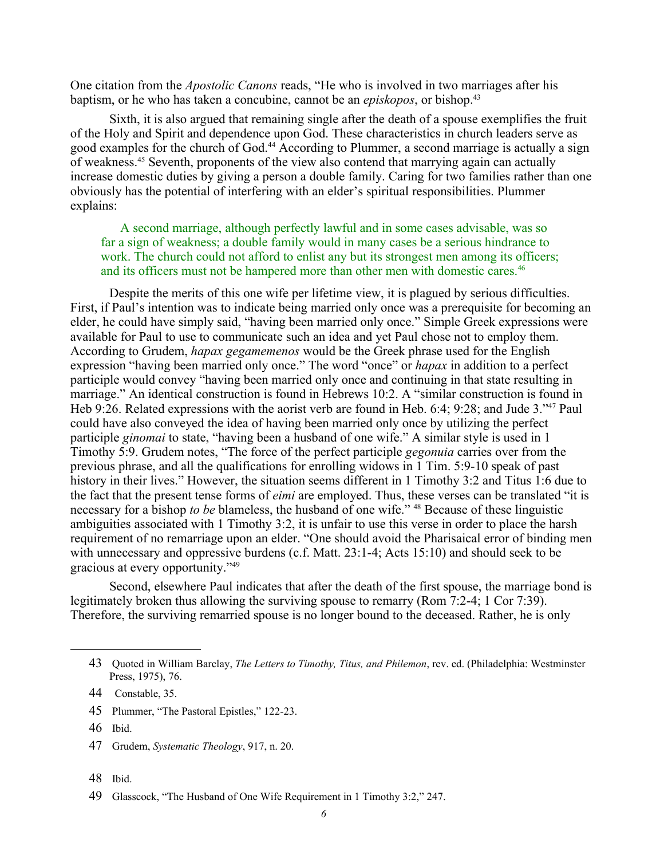One citation from the *Apostolic Canons* reads, "He who is involved in two marriages after his baptism, or he who has taken a concubine, cannot be an *episkopos*, or bishop.[43](#page-7-0)

Sixth, it is also argued that remaining single after the death of a spouse exemplifies the fruit of the Holy and Spirit and dependence upon God. These characteristics in church leaders serve as good examples for the church of God.<sup>[44](#page-7-1)</sup> According to Plummer, a second marriage is actually a sign of weakness.[45](#page-7-2) Seventh, proponents of the view also contend that marrying again can actually increase domestic duties by giving a person a double family. Caring for two families rather than one obviously has the potential of interfering with an elder's spiritual responsibilities. Plummer explains:

A second marriage, although perfectly lawful and in some cases advisable, was so far a sign of weakness; a double family would in many cases be a serious hindrance to work. The church could not afford to enlist any but its strongest men among its officers; and its officers must not be hampered more than other men with domestic cares.<sup>[46](#page-7-3)</sup>

Despite the merits of this one wife per lifetime view, it is plagued by serious difficulties. First, if Paul's intention was to indicate being married only once was a prerequisite for becoming an elder, he could have simply said, "having been married only once." Simple Greek expressions were available for Paul to use to communicate such an idea and yet Paul chose not to employ them. According to Grudem, *hapax gegamemenos* would be the Greek phrase used for the English expression "having been married only once." The word "once" or *hapax* in addition to a perfect participle would convey "having been married only once and continuing in that state resulting in marriage." An identical construction is found in Hebrews 10:2. A "similar construction is found in Heb 9:26. Related expressions with the aorist verb are found in Heb. 6:4; 9:28; and Jude 3."[47](#page-7-4) Paul could have also conveyed the idea of having been married only once by utilizing the perfect participle *ginomai* to state, "having been a husband of one wife." A similar style is used in 1 Timothy 5:9. Grudem notes, "The force of the perfect participle *gegonuia* carries over from the previous phrase, and all the qualifications for enrolling widows in 1 Tim. 5:9-10 speak of past history in their lives." However, the situation seems different in 1 Timothy 3:2 and Titus 1:6 due to the fact that the present tense forms of *eimi* are employed. Thus, these verses can be translated "it is necessary for a bishop *to be* blameless, the husband of one wife." <sup>[48](#page-7-5)</sup> Because of these linguistic ambiguities associated with 1 Timothy 3:2, it is unfair to use this verse in order to place the harsh requirement of no remarriage upon an elder. "One should avoid the Pharisaical error of binding men with unnecessary and oppressive burdens (c.f. Matt. 23:1-4; Acts 15:10) and should seek to be gracious at every opportunity." [49](#page-7-6)

Second, elsewhere Paul indicates that after the death of the first spouse, the marriage bond is legitimately broken thus allowing the surviving spouse to remarry (Rom 7:2-4; 1 Cor 7:39). Therefore, the surviving remarried spouse is no longer bound to the deceased. Rather, he is only

- <span id="page-7-2"></span>45 Plummer, "The Pastoral Epistles," 122-23.
- <span id="page-7-3"></span>46 Ibid.
- <span id="page-7-4"></span>47 Grudem, *Systematic Theology*, 917, n. 20.
- <span id="page-7-5"></span>48 Ibid.
- <span id="page-7-6"></span>49 Glasscock, "The Husband of One Wife Requirement in 1 Timothy 3:2," 247.

<span id="page-7-0"></span><sup>43</sup> Quoted in William Barclay, *The Letters to Timothy, Titus, and Philemon*, rev. ed. (Philadelphia: Westminster Press, 1975), 76.

<span id="page-7-1"></span><sup>44</sup> Constable, 35.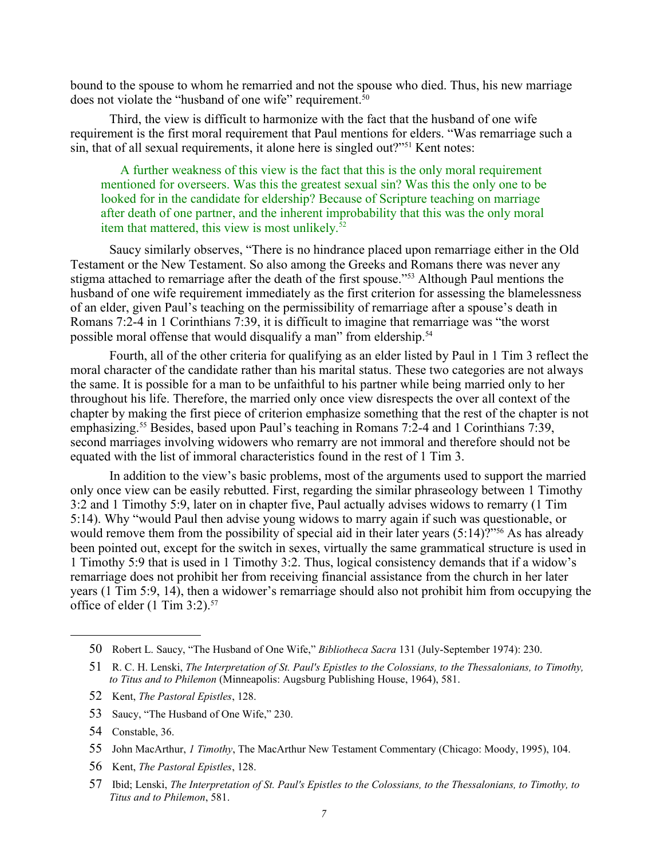bound to the spouse to whom he remarried and not the spouse who died. Thus, his new marriage does not violate the "husband of one wife" requirement.<sup>[50](#page-8-0)</sup>

Third, the view is difficult to harmonize with the fact that the husband of one wife requirement is the first moral requirement that Paul mentions for elders. "Was remarriage such a sin, that of all sexual requirements, it alone here is singled out?"[51](#page-8-1) Kent notes:

A further weakness of this view is the fact that this is the only moral requirement mentioned for overseers. Was this the greatest sexual sin? Was this the only one to be looked for in the candidate for eldership? Because of Scripture teaching on marriage after death of one partner, and the inherent improbability that this was the only moral item that mattered, this view is most unlikely.<sup>[52](#page-8-2)</sup>

Saucy similarly observes, "There is no hindrance placed upon remarriage either in the Old Testament or the New Testament. So also among the Greeks and Romans there was never any stigma attached to remarriage after the death of the first spouse."<sup>[53](#page-8-3)</sup> Although Paul mentions the husband of one wife requirement immediately as the first criterion for assessing the blamelessness of an elder, given Paul's teaching on the permissibility of remarriage after a spouse's death in Romans 7:2-4 in 1 Corinthians 7:39, it is difficult to imagine that remarriage was "the worst possible moral offense that would disqualify a man" from eldership.<sup>[54](#page-8-4)</sup>

Fourth, all of the other criteria for qualifying as an elder listed by Paul in 1 Tim 3 reflect the moral character of the candidate rather than his marital status. These two categories are not always the same. It is possible for a man to be unfaithful to his partner while being married only to her throughout his life. Therefore, the married only once view disrespects the over all context of the chapter by making the first piece of criterion emphasize something that the rest of the chapter is not emphasizing.<sup>[55](#page-8-5)</sup> Besides, based upon Paul's teaching in Romans 7:2-4 and 1 Corinthians 7:39, second marriages involving widowers who remarry are not immoral and therefore should not be equated with the list of immoral characteristics found in the rest of 1 Tim 3.

In addition to the view's basic problems, most of the arguments used to support the married only once view can be easily rebutted. First, regarding the similar phraseology between 1 Timothy 3:2 and 1 Timothy 5:9, later on in chapter five, Paul actually advises widows to remarry (1 Tim 5:14). Why "would Paul then advise young widows to marry again if such was questionable, or would remove them from the possibility of special aid in their later years (5:14)?"<sup>[56](#page-8-6)</sup> As has already been pointed out, except for the switch in sexes, virtually the same grammatical structure is used in 1 Timothy 5:9 that is used in 1 Timothy 3:2. Thus, logical consistency demands that if a widow's remarriage does not prohibit her from receiving financial assistance from the church in her later years (1 Tim 5:9, 14), then a widower's remarriage should also not prohibit him from occupying the office of elder (1 Tim 3:2).<sup>[57](#page-8-7)</sup>

- <span id="page-8-3"></span>53 Saucy, "The Husband of One Wife," 230.
- <span id="page-8-4"></span>54 Constable, 36.

<span id="page-8-6"></span>56 Kent, *The Pastoral Epistles*, 128.

<span id="page-8-0"></span><sup>50</sup> Robert L. Saucy, "The Husband of One Wife," *Bibliotheca Sacra* 131 (July-September 1974): 230.

<span id="page-8-1"></span><sup>51</sup> R. C. H. Lenski, *The Interpretation of St. Paul's Epistles to the Colossians, to the Thessalonians, to Timothy, to Titus and to Philemon* (Minneapolis: Augsburg Publishing House, 1964), 581.

<span id="page-8-2"></span><sup>52</sup> Kent, *The Pastoral Epistles*, 128.

<span id="page-8-5"></span><sup>55</sup> John MacArthur, *1 Timothy*, The MacArthur New Testament Commentary (Chicago: Moody, 1995), 104.

<span id="page-8-7"></span><sup>57</sup> Ibid; Lenski, *The Interpretation of St. Paul's Epistles to the Colossians, to the Thessalonians, to Timothy, to Titus and to Philemon*, 581.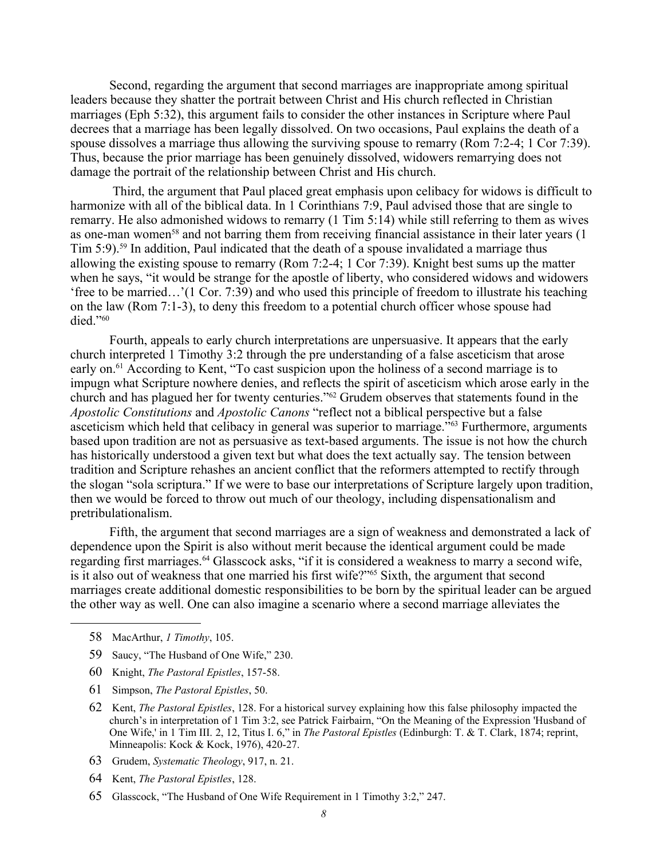Second, regarding the argument that second marriages are inappropriate among spiritual leaders because they shatter the portrait between Christ and His church reflected in Christian marriages (Eph 5:32), this argument fails to consider the other instances in Scripture where Paul decrees that a marriage has been legally dissolved. On two occasions, Paul explains the death of a spouse dissolves a marriage thus allowing the surviving spouse to remarry (Rom 7:2-4; 1 Cor 7:39). Thus, because the prior marriage has been genuinely dissolved, widowers remarrying does not damage the portrait of the relationship between Christ and His church.

 Third, the argument that Paul placed great emphasis upon celibacy for widows is difficult to harmonize with all of the biblical data. In 1 Corinthians 7:9, Paul advised those that are single to remarry. He also admonished widows to remarry (1 Tim 5:14) while still referring to them as wives as one-man women<sup>[58](#page-9-0)</sup> and not barring them from receiving financial assistance in their later years (1) Tim 5:9).<sup>[59](#page-9-1)</sup> In addition, Paul indicated that the death of a spouse invalidated a marriage thus allowing the existing spouse to remarry (Rom 7:2-4; 1 Cor 7:39). Knight best sums up the matter when he says, "it would be strange for the apostle of liberty, who considered widows and widowers 'free to be married…'(1 Cor. 7:39) and who used this principle of freedom to illustrate his teaching on the law (Rom 7:1-3), to deny this freedom to a potential church officer whose spouse had died."[60](#page-9-2)

Fourth, appeals to early church interpretations are unpersuasive. It appears that the early church interpreted 1 Timothy 3:2 through the pre understanding of a false asceticism that arose early on.<sup>[61](#page-9-3)</sup> According to Kent, "To cast suspicion upon the holiness of a second marriage is to impugn what Scripture nowhere denies, and reflects the spirit of asceticism which arose early in the church and has plagued her for twenty centuries."[62](#page-9-4) Grudem observes that statements found in the *Apostolic Constitutions* and *Apostolic Canons* "reflect not a biblical perspective but a false asceticism which held that celibacy in general was superior to marriage."<sup>[63](#page-9-5)</sup> Furthermore, arguments based upon tradition are not as persuasive as text-based arguments. The issue is not how the church has historically understood a given text but what does the text actually say. The tension between tradition and Scripture rehashes an ancient conflict that the reformers attempted to rectify through the slogan "sola scriptura." If we were to base our interpretations of Scripture largely upon tradition, then we would be forced to throw out much of our theology, including dispensationalism and pretribulationalism.

Fifth, the argument that second marriages are a sign of weakness and demonstrated a lack of dependence upon the Spirit is also without merit because the identical argument could be made regarding first marriages.<sup>[64](#page-9-6)</sup> Glasscock asks, "if it is considered a weakness to marry a second wife, is it also out of weakness that one married his first wife?"<sup>[65](#page-9-7)</sup> Sixth, the argument that second marriages create additional domestic responsibilities to be born by the spiritual leader can be argued the other way as well. One can also imagine a scenario where a second marriage alleviates the

- <span id="page-9-0"></span>58 MacArthur, *1 Timothy*, 105.
- <span id="page-9-1"></span>59 Saucy, "The Husband of One Wife," 230.
- <span id="page-9-2"></span>60 Knight, *The Pastoral Epistles*, 157-58.
- <span id="page-9-3"></span>61 Simpson, *The Pastoral Epistles*, 50.
- <span id="page-9-4"></span>62 Kent, *The Pastoral Epistles*, 128. For a historical survey explaining how this false philosophy impacted the church's in interpretation of 1 Tim 3:2, see Patrick Fairbairn, "On the Meaning of the Expression 'Husband of One Wife,' in 1 Tim III. 2, 12, Titus I. 6," in *The Pastoral Epistles* (Edinburgh: T. & T. Clark, 1874; reprint, Minneapolis: Kock & Kock, 1976), 420-27.
- <span id="page-9-5"></span>63 Grudem, *Systematic Theology*, 917, n. 21.
- <span id="page-9-6"></span>64 Kent, *The Pastoral Epistles*, 128.
- <span id="page-9-7"></span>65 Glasscock, "The Husband of One Wife Requirement in 1 Timothy 3:2," 247.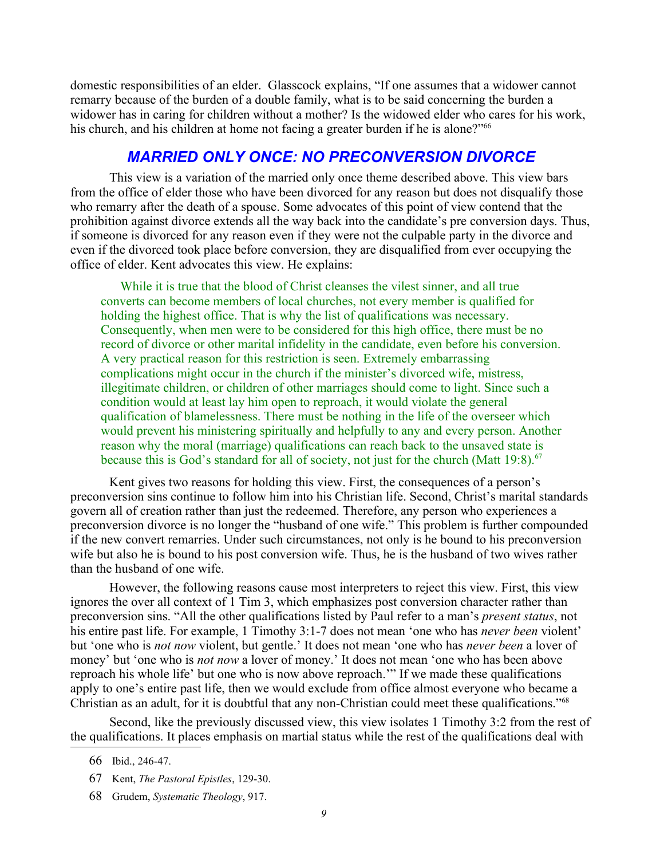domestic responsibilities of an elder. Glasscock explains, "If one assumes that a widower cannot remarry because of the burden of a double family, what is to be said concerning the burden a widower has in caring for children without a mother? Is the widowed elder who cares for his work, his church, and his children at home not facing a greater burden if he is alone?"<sup>[66](#page-10-0)</sup>

# *MARRIED ONLY ONCE: NO PRECONVERSION DIVORCE*

This view is a variation of the married only once theme described above. This view bars from the office of elder those who have been divorced for any reason but does not disqualify those who remarry after the death of a spouse. Some advocates of this point of view contend that the prohibition against divorce extends all the way back into the candidate's pre conversion days. Thus, if someone is divorced for any reason even if they were not the culpable party in the divorce and even if the divorced took place before conversion, they are disqualified from ever occupying the office of elder. Kent advocates this view. He explains:

While it is true that the blood of Christ cleanses the vilest sinner, and all true converts can become members of local churches, not every member is qualified for holding the highest office. That is why the list of qualifications was necessary. Consequently, when men were to be considered for this high office, there must be no record of divorce or other marital infidelity in the candidate, even before his conversion. A very practical reason for this restriction is seen. Extremely embarrassing complications might occur in the church if the minister's divorced wife, mistress, illegitimate children, or children of other marriages should come to light. Since such a condition would at least lay him open to reproach, it would violate the general qualification of blamelessness. There must be nothing in the life of the overseer which would prevent his ministering spiritually and helpfully to any and every person. Another reason why the moral (marriage) qualifications can reach back to the unsaved state is because this is God's standard for all of society, not just for the church (Matt 19:8). $67$ 

Kent gives two reasons for holding this view. First, the consequences of a person's preconversion sins continue to follow him into his Christian life. Second, Christ's marital standards govern all of creation rather than just the redeemed. Therefore, any person who experiences a preconversion divorce is no longer the "husband of one wife." This problem is further compounded if the new convert remarries. Under such circumstances, not only is he bound to his preconversion wife but also he is bound to his post conversion wife. Thus, he is the husband of two wives rather than the husband of one wife.

However, the following reasons cause most interpreters to reject this view. First, this view ignores the over all context of 1 Tim 3, which emphasizes post conversion character rather than preconversion sins. "All the other qualifications listed by Paul refer to a man's *present status*, not his entire past life. For example, 1 Timothy 3:1-7 does not mean 'one who has *never been* violent' but 'one who is *not now* violent, but gentle.' It does not mean 'one who has *never been* a lover of money' but 'one who is *not now* a lover of money.' It does not mean 'one who has been above reproach his whole life' but one who is now above reproach.'" If we made these qualifications apply to one's entire past life, then we would exclude from office almost everyone who became a Christian as an adult, for it is doubtful that any non-Christian could meet these qualifications."[68](#page-10-2)

Second, like the previously discussed view, this view isolates 1 Timothy 3:2 from the rest of the qualifications. It places emphasis on martial status while the rest of the qualifications deal with

<span id="page-10-0"></span><sup>66</sup> Ibid., 246-47.

<span id="page-10-1"></span><sup>67</sup> Kent, *The Pastoral Epistles*, 129-30.

<span id="page-10-2"></span><sup>68</sup> Grudem, *Systematic Theology*, 917.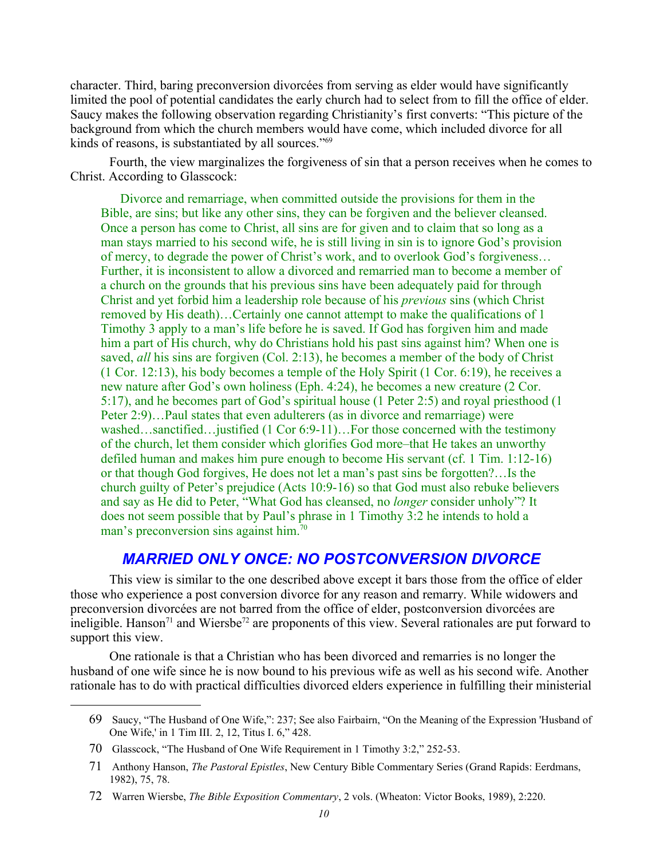character. Third, baring preconversion divorcées from serving as elder would have significantly limited the pool of potential candidates the early church had to select from to fill the office of elder. Saucy makes the following observation regarding Christianity's first converts: "This picture of the background from which the church members would have come, which included divorce for all kinds of reasons, is substantiated by all sources."[69](#page-11-0)

Fourth, the view marginalizes the forgiveness of sin that a person receives when he comes to Christ. According to Glasscock:

Divorce and remarriage, when committed outside the provisions for them in the Bible, are sins; but like any other sins, they can be forgiven and the believer cleansed. Once a person has come to Christ, all sins are for given and to claim that so long as a man stays married to his second wife, he is still living in sin is to ignore God's provision of mercy, to degrade the power of Christ's work, and to overlook God's forgiveness… Further, it is inconsistent to allow a divorced and remarried man to become a member of a church on the grounds that his previous sins have been adequately paid for through Christ and yet forbid him a leadership role because of his *previous* sins (which Christ removed by His death)…Certainly one cannot attempt to make the qualifications of 1 Timothy 3 apply to a man's life before he is saved. If God has forgiven him and made him a part of His church, why do Christians hold his past sins against him? When one is saved, *all* his sins are forgiven (Col. 2:13), he becomes a member of the body of Christ (1 Cor. 12:13), his body becomes a temple of the Holy Spirit (1 Cor. 6:19), he receives a new nature after God's own holiness (Eph. 4:24), he becomes a new creature (2 Cor. 5:17), and he becomes part of God's spiritual house (1 Peter 2:5) and royal priesthood (1 Peter 2:9)…Paul states that even adulterers (as in divorce and remarriage) were washed…sanctified…justified (1 Cor 6:9-11)…For those concerned with the testimony of the church, let them consider which glorifies God more–that He takes an unworthy defiled human and makes him pure enough to become His servant (cf. 1 Tim. 1:12-16) or that though God forgives, He does not let a man's past sins be forgotten?…Is the church guilty of Peter's prejudice (Acts 10:9-16) so that God must also rebuke believers and say as He did to Peter, "What God has cleansed, no *longer* consider unholy"? It does not seem possible that by Paul's phrase in 1 Timothy 3:2 he intends to hold a man's preconversion sins against him.<sup>[70](#page-11-1)</sup>

#### *MARRIED ONLY ONCE: NO POSTCONVERSION DIVORCE*

This view is similar to the one described above except it bars those from the office of elder those who experience a post conversion divorce for any reason and remarry. While widowers and preconversion divorcées are not barred from the office of elder, postconversion divorcées are ineligible. Hanson<sup>[71](#page-11-2)</sup> and Wiersbe<sup>[72](#page-11-3)</sup> are proponents of this view. Several rationales are put forward to support this view.

One rationale is that a Christian who has been divorced and remarries is no longer the husband of one wife since he is now bound to his previous wife as well as his second wife. Another rationale has to do with practical difficulties divorced elders experience in fulfilling their ministerial

<span id="page-11-0"></span><sup>69</sup> Saucy, "The Husband of One Wife,": 237; See also Fairbairn, "On the Meaning of the Expression 'Husband of One Wife,' in 1 Tim III. 2, 12, Titus I. 6," 428.

<span id="page-11-1"></span><sup>70</sup> Glasscock, "The Husband of One Wife Requirement in 1 Timothy 3:2," 252-53.

<span id="page-11-2"></span><sup>71</sup> Anthony Hanson, *The Pastoral Epistles*, New Century Bible Commentary Series (Grand Rapids: Eerdmans, 1982), 75, 78.

<span id="page-11-3"></span><sup>72</sup> Warren Wiersbe, *The Bible Exposition Commentary*, 2 vols. (Wheaton: Victor Books, 1989), 2:220.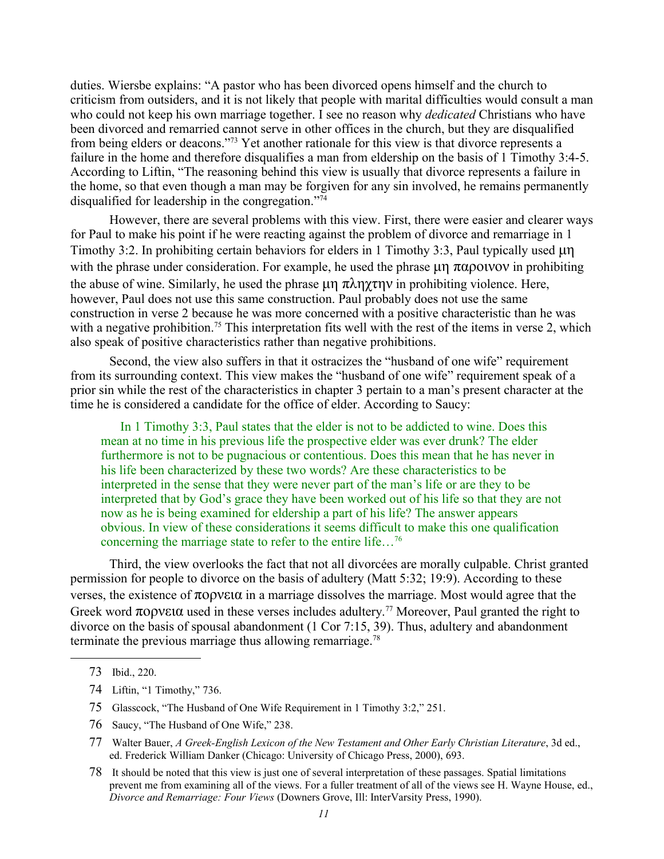duties. Wiersbe explains: "A pastor who has been divorced opens himself and the church to criticism from outsiders, and it is not likely that people with marital difficulties would consult a man who could not keep his own marriage together. I see no reason why *dedicated* Christians who have been divorced and remarried cannot serve in other offices in the church, but they are disqualified from being elders or deacons."[73](#page-12-0) Yet another rationale for this view is that divorce represents a failure in the home and therefore disqualifies a man from eldership on the basis of 1 Timothy 3:4-5. According to Liftin, "The reasoning behind this view is usually that divorce represents a failure in the home, so that even though a man may be forgiven for any sin involved, he remains permanently disqualified for leadership in the congregation."[74](#page-12-1)

However, there are several problems with this view. First, there were easier and clearer ways for Paul to make his point if he were reacting against the problem of divorce and remarriage in 1 Timothy 3:2. In prohibiting certain behaviors for elders in 1 Timothy 3:3, Paul typically used  $\mu$ n with the phrase under consideration. For example, he used the phrase  $\mu$   $\pi$  $\alpha$  $\rho$ otvov in prohibiting the abuse of wine. Similarly, he used the phrase  $\mu \eta \pi \lambda \eta \chi \tau \eta \nu$  in prohibiting violence. Here, however, Paul does not use this same construction. Paul probably does not use the same construction in verse 2 because he was more concerned with a positive characteristic than he was with a negative prohibition.<sup>[75](#page-12-2)</sup> This interpretation fits well with the rest of the items in verse 2, which also speak of positive characteristics rather than negative prohibitions.

Second, the view also suffers in that it ostracizes the "husband of one wife" requirement from its surrounding context. This view makes the "husband of one wife" requirement speak of a prior sin while the rest of the characteristics in chapter 3 pertain to a man's present character at the time he is considered a candidate for the office of elder. According to Saucy:

In 1 Timothy 3:3, Paul states that the elder is not to be addicted to wine. Does this mean at no time in his previous life the prospective elder was ever drunk? The elder furthermore is not to be pugnacious or contentious. Does this mean that he has never in his life been characterized by these two words? Are these characteristics to be interpreted in the sense that they were never part of the man's life or are they to be interpreted that by God's grace they have been worked out of his life so that they are not now as he is being examined for eldership a part of his life? The answer appears obvious. In view of these considerations it seems difficult to make this one qualification concerning the marriage state to refer to the entire life...<sup>[76](#page-12-3)</sup>

Third, the view overlooks the fact that not all divorcées are morally culpable. Christ granted permission for people to divorce on the basis of adultery (Matt 5:32; 19:9). According to these verses, the existence of  $\pi$ o ove $\alpha$  in a marriage dissolves the marriage. Most would agree that the Greek word  $\pi$ opv $\epsilon$ ta used in these verses includes adultery.<sup>[77](#page-12-4)</sup> Moreover, Paul granted the right to divorce on the basis of spousal abandonment (1 Cor 7:15, 39). Thus, adultery and abandonment terminate the previous marriage thus allowing remarriage.<sup>[78](#page-12-5)</sup>

<span id="page-12-3"></span>76 Saucy, "The Husband of One Wife," 238.

<span id="page-12-0"></span><sup>73</sup> Ibid., 220.

<span id="page-12-1"></span><sup>74</sup> Liftin, "1 Timothy," 736.

<span id="page-12-2"></span><sup>75</sup> Glasscock, "The Husband of One Wife Requirement in 1 Timothy 3:2," 251.

<span id="page-12-4"></span><sup>77</sup> Walter Bauer, *A Greek-English Lexicon of the New Testament and Other Early Christian Literature*, 3d ed., ed. Frederick William Danker (Chicago: University of Chicago Press, 2000), 693.

<span id="page-12-5"></span><sup>78</sup> It should be noted that this view is just one of several interpretation of these passages. Spatial limitations prevent me from examining all of the views. For a fuller treatment of all of the views see H. Wayne House, ed., *Divorce and Remarriage: Four Views* (Downers Grove, Ill: InterVarsity Press, 1990).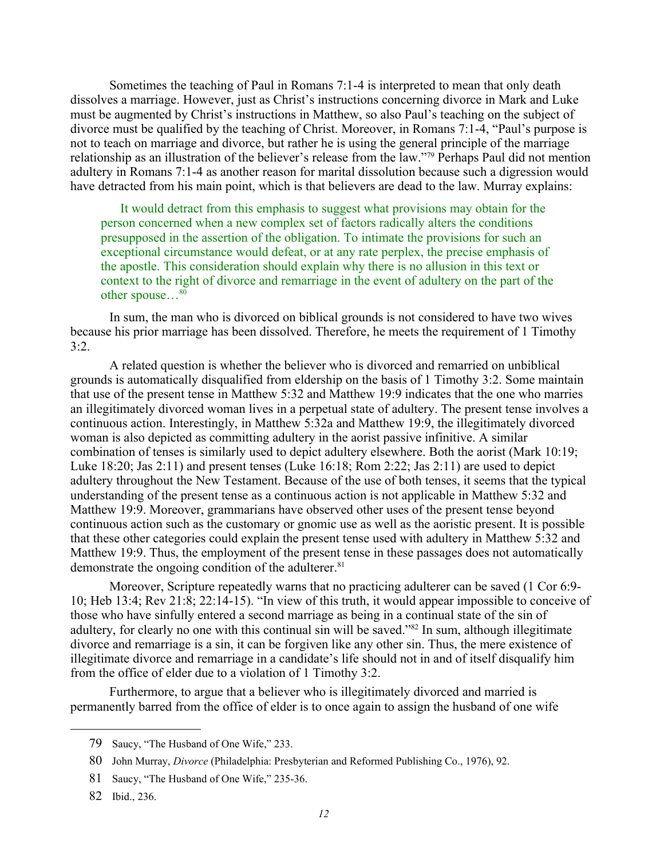Sometimes the teaching of Paul in Romans 7:1-4 is interpreted to mean that only death dissolves a marriage. However, just as Christ's instructions concerning divorce in Mark and Luke must be augmented by Christ's instructions in Matthew, so also Paul's teaching on the subject of divorce must be qualified by the teaching of Christ. Moreover, in Romans 7:1-4, "Paul's purpose is not to teach on marriage and divorce, but rather he is using the general principle of the marriage relationship as an illustration of the believer's release from the law."<sup>[79](#page-13-0)</sup> Perhaps Paul did not mention adultery in Romans 7:1-4 as another reason for marital dissolution because such a digression would have detracted from his main point, which is that believers are dead to the law. Murray explains:

It would detract from this emphasis to suggest what provisions may obtain for the person concerned when a new complex set of factors radically alters the conditions presupposed in the assertion of the obligation. To intimate the provisions for such an exceptional circumstance would defeat, or at any rate perplex, the precise emphasis of the apostle. This consideration should explain why there is no allusion in this text or context to the right of divorce and remarriage in the event of adultery on the part of the other spouse... $80$ 

In sum, the man who is divorced on biblical grounds is not considered to have two wives because his prior marriage has been dissolved. Therefore, he meets the requirement of 1 Timothy  $3:2.$ 

A related question is whether the believer who is divorced and remarried on unbiblical grounds is automatically disqualified from eldership on the basis of 1 Timothy 3:2. Some maintain that use of the present tense in Matthew 5:32 and Matthew 19:9 indicates that the one who marries an illegitimately divorced woman lives in a perpetual state of adultery. The present tense involves a continuous action. Interestingly, in Matthew 5:32a and Matthew 19:9, the illegitimately divorced woman is also depicted as committing adultery in the aorist passive infinitive. A similar combination of tenses is similarly used to depict adultery elsewhere. Both the aorist (Mark 10:19; Luke 18:20; Jas 2:11) and present tenses (Luke 16:18; Rom 2:22; Jas 2:11) are used to depict adultery throughout the New Testament. Because of the use of both tenses, it seems that the typical understanding of the present tense as a continuous action is not applicable in Matthew 5:32 and Matthew 19:9. Moreover, grammarians have observed other uses of the present tense beyond continuous action such as the customary or gnomic use as well as the aoristic present. It is possible that these other categories could explain the present tense used with adultery in Matthew 5:32 and Matthew 19:9. Thus, the employment of the present tense in these passages does not automatically demonstrate the ongoing condition of the adulterer.<sup>[81](#page-13-2)</sup>

Moreover, Scripture repeatedly warns that no practicing adulterer can be saved (1 Cor 6:9- 10; Heb 13:4; Rev 21:8; 22:14-15). "In view of this truth, it would appear impossible to conceive of those who have sinfully entered a second marriage as being in a continual state of the sin of adultery, for clearly no one with this continual sin will be saved."<sup>[82](#page-13-3)</sup> In sum, although illegitimate divorce and remarriage is a sin, it can be forgiven like any other sin. Thus, the mere existence of illegitimate divorce and remarriage in a candidate's life should not in and of itself disqualify him from the office of elder due to a violation of 1 Timothy 3:2.

Furthermore, to argue that a believer who is illegitimately divorced and married is permanently barred from the office of elder is to once again to assign the husband of one wife

<span id="page-13-0"></span><sup>79</sup> Saucy, "The Husband of One Wife," 233.

<span id="page-13-1"></span><sup>80</sup> John Murray, *Divorce* (Philadelphia: Presbyterian and Reformed Publishing Co., 1976), 92.

<span id="page-13-2"></span><sup>81</sup> Saucy, "The Husband of One Wife," 235-36.

<span id="page-13-3"></span><sup>82</sup> Ibid., 236.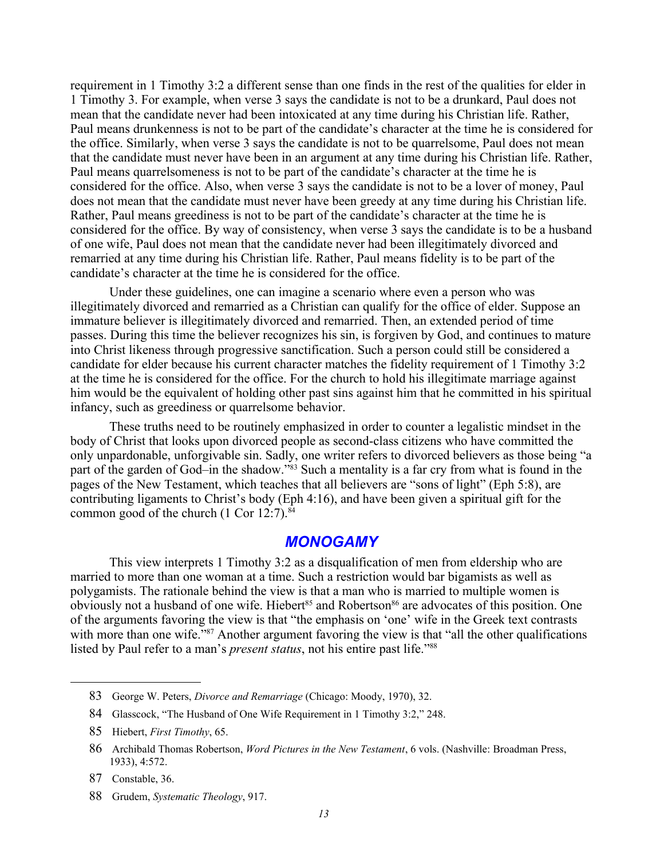requirement in 1 Timothy 3:2 a different sense than one finds in the rest of the qualities for elder in 1 Timothy 3. For example, when verse 3 says the candidate is not to be a drunkard, Paul does not mean that the candidate never had been intoxicated at any time during his Christian life. Rather, Paul means drunkenness is not to be part of the candidate's character at the time he is considered for the office. Similarly, when verse 3 says the candidate is not to be quarrelsome, Paul does not mean that the candidate must never have been in an argument at any time during his Christian life. Rather, Paul means quarrelsomeness is not to be part of the candidate's character at the time he is considered for the office. Also, when verse 3 says the candidate is not to be a lover of money, Paul does not mean that the candidate must never have been greedy at any time during his Christian life. Rather, Paul means greediness is not to be part of the candidate's character at the time he is considered for the office. By way of consistency, when verse 3 says the candidate is to be a husband of one wife, Paul does not mean that the candidate never had been illegitimately divorced and remarried at any time during his Christian life. Rather, Paul means fidelity is to be part of the candidate's character at the time he is considered for the office.

Under these guidelines, one can imagine a scenario where even a person who was illegitimately divorced and remarried as a Christian can qualify for the office of elder. Suppose an immature believer is illegitimately divorced and remarried. Then, an extended period of time passes. During this time the believer recognizes his sin, is forgiven by God, and continues to mature into Christ likeness through progressive sanctification. Such a person could still be considered a candidate for elder because his current character matches the fidelity requirement of 1 Timothy 3:2 at the time he is considered for the office. For the church to hold his illegitimate marriage against him would be the equivalent of holding other past sins against him that he committed in his spiritual infancy, such as greediness or quarrelsome behavior.

These truths need to be routinely emphasized in order to counter a legalistic mindset in the body of Christ that looks upon divorced people as second-class citizens who have committed the only unpardonable, unforgivable sin. Sadly, one writer refers to divorced believers as those being "a part of the garden of God–in the shadow."<sup>[83](#page-14-0)</sup> Such a mentality is a far cry from what is found in the pages of the New Testament, which teaches that all believers are "sons of light" (Eph 5:8), are contributing ligaments to Christ's body (Eph 4:16), and have been given a spiritual gift for the common good of the church (1 Cor 12:7).<sup>[84](#page-14-1)</sup>

## *MONOGAMY*

This view interprets 1 Timothy 3:2 as a disqualification of men from eldership who are married to more than one woman at a time. Such a restriction would bar bigamists as well as polygamists. The rationale behind the view is that a man who is married to multiple women is obviously not a husband of one wife. Hiebert<sup>[85](#page-14-2)</sup> and Robertson<sup>[86](#page-14-3)</sup> are advocates of this position. One of the arguments favoring the view is that "the emphasis on 'one' wife in the Greek text contrasts with more than one wife."<sup>[87](#page-14-4)</sup> Another argument favoring the view is that "all the other qualifications listed by Paul refer to a man's *present status*, not his entire past life."[88](#page-14-5)

<span id="page-14-0"></span><sup>83</sup> George W. Peters, *Divorce and Remarriage* (Chicago: Moody, 1970), 32.

<span id="page-14-1"></span><sup>84</sup> Glasscock, "The Husband of One Wife Requirement in 1 Timothy 3:2," 248.

<span id="page-14-2"></span><sup>85</sup> Hiebert, *First Timothy*, 65.

<span id="page-14-3"></span><sup>86</sup> Archibald Thomas Robertson, *Word Pictures in the New Testament*, 6 vols. (Nashville: Broadman Press, 1933), 4:572.

<span id="page-14-4"></span><sup>87</sup> Constable, 36.

<span id="page-14-5"></span><sup>88</sup> Grudem, *Systematic Theology*, 917.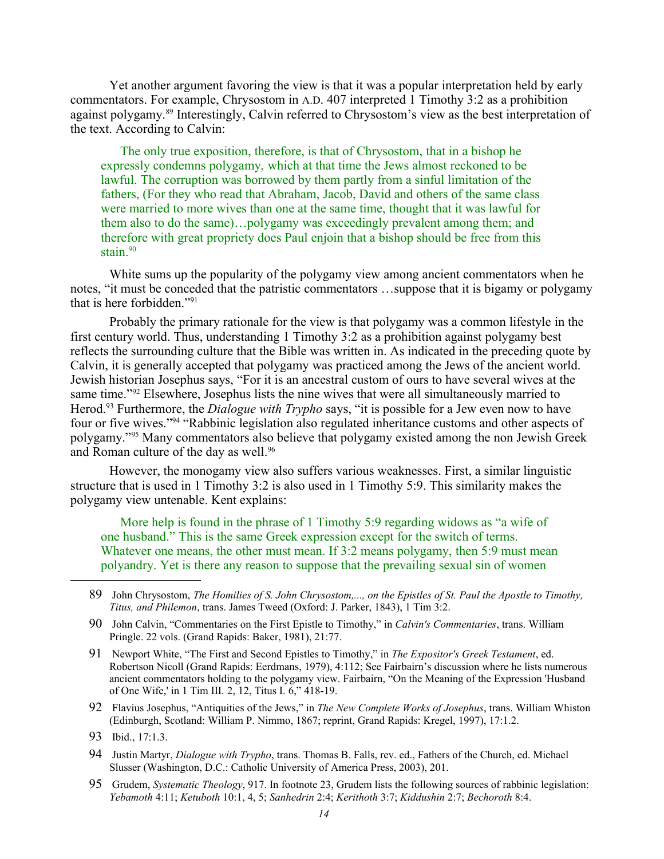Yet another argument favoring the view is that it was a popular interpretation held by early commentators. For example, Chrysostom in A.D. 407 interpreted 1 Timothy 3:2 as a prohibition against polygamy. [89](#page-15-0) Interestingly, Calvin referred to Chrysostom's view as the best interpretation of the text. According to Calvin:

The only true exposition, therefore, is that of Chrysostom, that in a bishop he expressly condemns polygamy, which at that time the Jews almost reckoned to be lawful. The corruption was borrowed by them partly from a sinful limitation of the fathers, (For they who read that Abraham, Jacob, David and others of the same class were married to more wives than one at the same time, thought that it was lawful for them also to do the same)…polygamy was exceedingly prevalent among them; and therefore with great propriety does Paul enjoin that a bishop should be free from this stain. $90$ 

White sums up the popularity of the polygamy view among ancient commentators when he notes, "it must be conceded that the patristic commentators …suppose that it is bigamy or polygamy that is here forbidden."[91](#page-15-2)

Probably the primary rationale for the view is that polygamy was a common lifestyle in the first century world. Thus, understanding 1 Timothy 3:2 as a prohibition against polygamy best reflects the surrounding culture that the Bible was written in. As indicated in the preceding quote by Calvin, it is generally accepted that polygamy was practiced among the Jews of the ancient world. Jewish historian Josephus says, "For it is an ancestral custom of ours to have several wives at the same time."<sup>[92](#page-15-3)</sup> Elsewhere, Josephus lists the nine wives that were all simultaneously married to Herod.[93](#page-15-4) Furthermore, the *Dialogue with Trypho* says, "it is possible for a Jew even now to have four or five wives."[94](#page-15-5) "Rabbinic legislation also regulated inheritance customs and other aspects of polygamy."[95](#page-15-6) Many commentators also believe that polygamy existed among the non Jewish Greek and Roman culture of the day as well.<sup>[96](#page-16-0)</sup>

However, the monogamy view also suffers various weaknesses. First, a similar linguistic structure that is used in 1 Timothy 3:2 is also used in 1 Timothy 5:9. This similarity makes the polygamy view untenable. Kent explains:

More help is found in the phrase of 1 Timothy 5:9 regarding widows as "a wife of one husband." This is the same Greek expression except for the switch of terms. Whatever one means, the other must mean. If 3:2 means polygamy, then 5:9 must mean polyandry. Yet is there any reason to suppose that the prevailing sexual sin of women

- <span id="page-15-1"></span>90 John Calvin, "Commentaries on the First Epistle to Timothy," in *Calvin's Commentaries*, trans. William Pringle. 22 vols. (Grand Rapids: Baker, 1981), 21:77.
- <span id="page-15-2"></span>91 Newport White, "The First and Second Epistles to Timothy," in *The Expositor's Greek Testament*, ed. Robertson Nicoll (Grand Rapids: Eerdmans, 1979), 4:112; See Fairbairn's discussion where he lists numerous ancient commentators holding to the polygamy view. Fairbairn, "On the Meaning of the Expression 'Husband of One Wife,' in 1 Tim III. 2, 12, Titus I. 6," 418-19.
- <span id="page-15-3"></span>92 Flavius Josephus, "Antiquities of the Jews," in *The New Complete Works of Josephus*, trans. William Whiston (Edinburgh, Scotland: William P. Nimmo, 1867; reprint, Grand Rapids: Kregel, 1997), 17:1.2.

- <span id="page-15-5"></span>94 Justin Martyr, *Dialogue with Trypho*, trans. Thomas B. Falls, rev. ed., Fathers of the Church, ed. Michael Slusser (Washington, D.C.: Catholic University of America Press, 2003), 201.
- <span id="page-15-6"></span>95 Grudem, *Systematic Theology*, 917. In footnote 23, Grudem lists the following sources of rabbinic legislation: *Yebamoth* 4:11; *Ketuboth* 10:1, 4, 5; *Sanhedrin* 2:4; *Kerithoth* 3:7; *Kiddushin* 2:7; *Bechoroth* 8:4.

<span id="page-15-0"></span><sup>89</sup> John Chrysostom, *The Homilies of S. John Chrysostom,..., on the Epistles of St. Paul the Apostle to Timothy, Titus, and Philemon*, trans. James Tweed (Oxford: J. Parker, 1843), 1 Tim 3:2.

<span id="page-15-4"></span><sup>93</sup> Ibid., 17:1.3.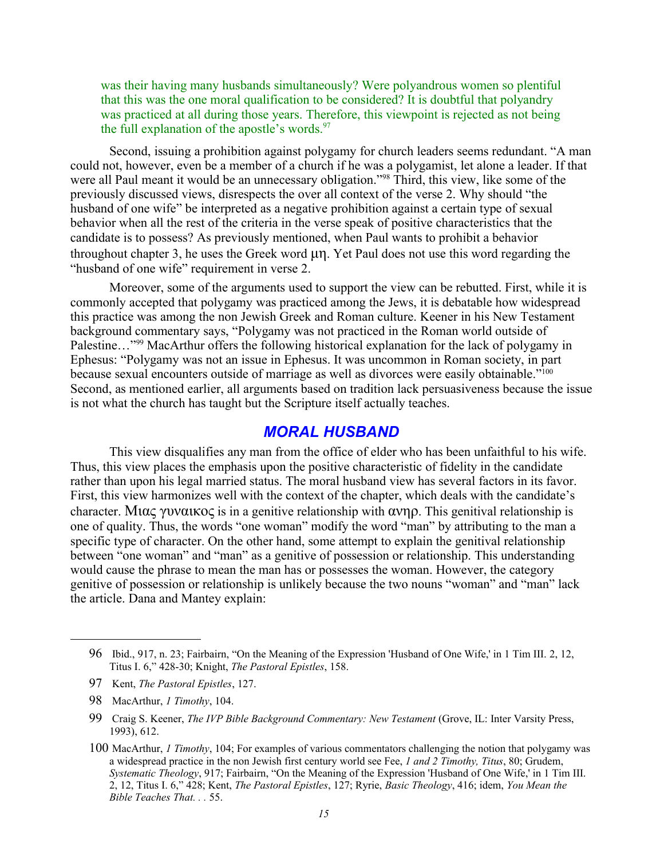was their having many husbands simultaneously? Were polyandrous women so plentiful that this was the one moral qualification to be considered? It is doubtful that polyandry was practiced at all during those years. Therefore, this viewpoint is rejected as not being the full explanation of the apostle's words. $97$ 

Second, issuing a prohibition against polygamy for church leaders seems redundant. "A man could not, however, even be a member of a church if he was a polygamist, let alone a leader. If that were all Paul meant it would be an unnecessary obligation."<sup>[98](#page-16-2)</sup> Third, this view, like some of the previously discussed views, disrespects the over all context of the verse 2. Why should "the husband of one wife" be interpreted as a negative prohibition against a certain type of sexual behavior when all the rest of the criteria in the verse speak of positive characteristics that the candidate is to possess? As previously mentioned, when Paul wants to prohibit a behavior throughout chapter 3, he uses the Greek word  $\mu$ n. Yet Paul does not use this word regarding the "husband of one wife" requirement in verse 2.

Moreover, some of the arguments used to support the view can be rebutted. First, while it is commonly accepted that polygamy was practiced among the Jews, it is debatable how widespread this practice was among the non Jewish Greek and Roman culture. Keener in his New Testament background commentary says, "Polygamy was not practiced in the Roman world outside of Palestine..."<sup>[99](#page-16-3)</sup> MacArthur offers the following historical explanation for the lack of polygamy in Ephesus: "Polygamy was not an issue in Ephesus. It was uncommon in Roman society, in part because sexual encounters outside of marriage as well as divorces were easily obtainable."<sup>[100](#page-16-4)</sup> Second, as mentioned earlier, all arguments based on tradition lack persuasiveness because the issue is not what the church has taught but the Scripture itself actually teaches.

## *MORAL HUSBAND*

This view disqualifies any man from the office of elder who has been unfaithful to his wife. Thus, this view places the emphasis upon the positive characteristic of fidelity in the candidate rather than upon his legal married status. The moral husband view has several factors in its favor. First, this view harmonizes well with the context of the chapter, which deals with the candidate's character. Mia  $\gamma$  yval  $\alpha$  is in a genitive relationship with  $\alpha \nu \eta \rho$ . This genitival relationship is one of quality. Thus, the words "one woman" modify the word "man" by attributing to the man a specific type of character. On the other hand, some attempt to explain the genitival relationship between "one woman" and "man" as a genitive of possession or relationship. This understanding would cause the phrase to mean the man has or possesses the woman. However, the category genitive of possession or relationship is unlikely because the two nouns "woman" and "man" lack the article. Dana and Mantey explain:

<span id="page-16-0"></span><sup>96</sup> Ibid., 917, n. 23; Fairbairn, "On the Meaning of the Expression 'Husband of One Wife,' in 1 Tim III. 2, 12, Titus I. 6," 428-30; Knight, *The Pastoral Epistles*, 158.

<span id="page-16-1"></span><sup>97</sup> Kent, *The Pastoral Epistles*, 127.

<span id="page-16-2"></span><sup>98</sup> MacArthur, *1 Timothy*, 104.

<span id="page-16-3"></span><sup>99</sup> Craig S. Keener, *The IVP Bible Background Commentary: New Testament* (Grove, IL: Inter Varsity Press, 1993), 612.

<span id="page-16-4"></span><sup>100</sup> MacArthur, *1 Timothy*, 104; For examples of various commentators challenging the notion that polygamy was a widespread practice in the non Jewish first century world see Fee, *1 and 2 Timothy, Titus*, 80; Grudem, *Systematic Theology*, 917; Fairbairn, "On the Meaning of the Expression 'Husband of One Wife,' in 1 Tim III. 2, 12, Titus I. 6," 428; Kent, *The Pastoral Epistles*, 127; Ryrie, *Basic Theology*, 416; idem, *You Mean the Bible Teaches That. . .* 55.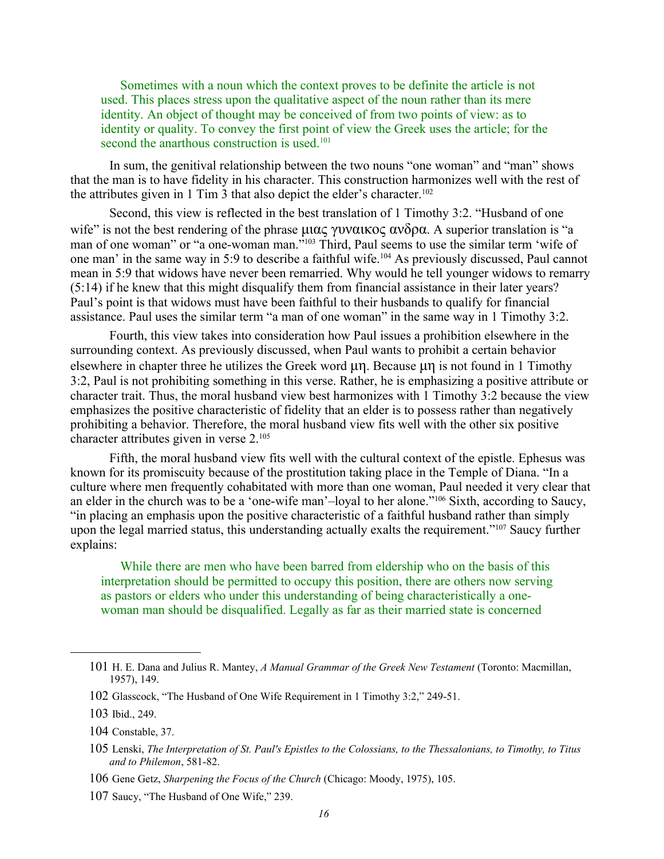Sometimes with a noun which the context proves to be definite the article is not used. This places stress upon the qualitative aspect of the noun rather than its mere identity. An object of thought may be conceived of from two points of view: as to identity or quality. To convey the first point of view the Greek uses the article; for the second the anarthous construction is used.<sup>[101](#page-17-0)</sup>

In sum, the genitival relationship between the two nouns "one woman" and "man" shows that the man is to have fidelity in his character. This construction harmonizes well with the rest of the attributes given in 1 Tim 3 that also depict the elder's character.<sup>[102](#page-17-1)</sup>

Second, this view is reflected in the best translation of 1 Timothy 3:2. "Husband of one wife" is not the best rendering of the phrase  $\mu$  $\alpha$   $\gamma$   $\nu$  $\alpha$   $\alpha$   $\alpha$  $\beta$  $\alpha$ . A superior translation is "a man of one woman" or "a one-woman man."<sup>[103](#page-17-2)</sup> Third, Paul seems to use the similar term 'wife of one man' in the same way in 5:9 to describe a faithful wife.[104](#page-17-3) As previously discussed, Paul cannot mean in 5:9 that widows have never been remarried. Why would he tell younger widows to remarry (5:14) if he knew that this might disqualify them from financial assistance in their later years? Paul's point is that widows must have been faithful to their husbands to qualify for financial assistance. Paul uses the similar term "a man of one woman" in the same way in 1 Timothy 3:2.

Fourth, this view takes into consideration how Paul issues a prohibition elsewhere in the surrounding context. As previously discussed, when Paul wants to prohibit a certain behavior elsewhere in chapter three he utilizes the Greek word  $\mu$ n. Because  $\mu$ n is not found in 1 Timothy 3:2, Paul is not prohibiting something in this verse. Rather, he is emphasizing a positive attribute or character trait. Thus, the moral husband view best harmonizes with 1 Timothy 3:2 because the view emphasizes the positive characteristic of fidelity that an elder is to possess rather than negatively prohibiting a behavior. Therefore, the moral husband view fits well with the other six positive character attributes given in verse 2.[105](#page-17-4)

Fifth, the moral husband view fits well with the cultural context of the epistle. Ephesus was known for its promiscuity because of the prostitution taking place in the Temple of Diana. "In a culture where men frequently cohabitated with more than one woman, Paul needed it very clear that an elder in the church was to be a 'one-wife man'–loyal to her alone."[106](#page-17-5) Sixth, according to Saucy, "in placing an emphasis upon the positive characteristic of a faithful husband rather than simply upon the legal married status, this understanding actually exalts the requirement."<sup>[107](#page-17-6)</sup> Saucy further explains:

While there are men who have been barred from eldership who on the basis of this interpretation should be permitted to occupy this position, there are others now serving as pastors or elders who under this understanding of being characteristically a onewoman man should be disqualified. Legally as far as their married state is concerned

<span id="page-17-6"></span>107 Saucy, "The Husband of One Wife," 239.

<span id="page-17-0"></span><sup>101</sup> H. E. Dana and Julius R. Mantey, *A Manual Grammar of the Greek New Testament* (Toronto: Macmillan, 1957), 149.

<span id="page-17-1"></span><sup>102</sup> Glasscock, "The Husband of One Wife Requirement in 1 Timothy 3:2," 249-51.

<span id="page-17-2"></span><sup>103</sup> Ibid., 249.

<span id="page-17-3"></span><sup>104</sup> Constable, 37.

<span id="page-17-4"></span><sup>105</sup> Lenski, *The Interpretation of St. Paul's Epistles to the Colossians, to the Thessalonians, to Timothy, to Titus and to Philemon*, 581-82.

<span id="page-17-5"></span><sup>106</sup> Gene Getz, *Sharpening the Focus of the Church* (Chicago: Moody, 1975), 105.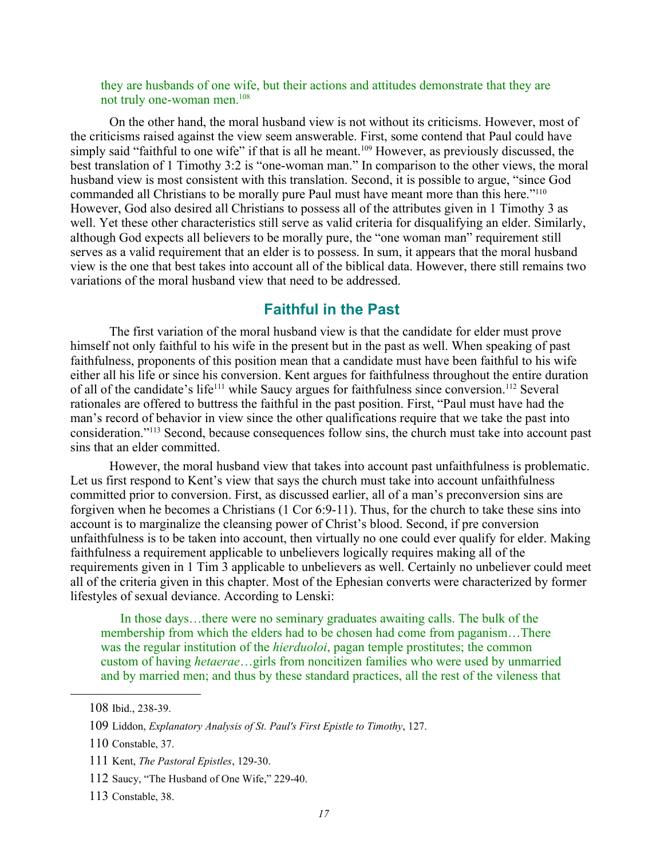they are husbands of one wife, but their actions and attitudes demonstrate that they are not truly one-woman men.<sup>[108](#page-18-0)</sup>

On the other hand, the moral husband view is not without its criticisms. However, most of the criticisms raised against the view seem answerable. First, some contend that Paul could have simply said "faithful to one wife" if that is all he meant.<sup>[109](#page-18-1)</sup> However, as previously discussed, the best translation of 1 Timothy 3:2 is "one-woman man." In comparison to the other views, the moral husband view is most consistent with this translation. Second, it is possible to argue, "since God commanded all Christians to be morally pure Paul must have meant more than this here."[110](#page-18-2) However, God also desired all Christians to possess all of the attributes given in 1 Timothy 3 as well. Yet these other characteristics still serve as valid criteria for disqualifying an elder. Similarly, although God expects all believers to be morally pure, the "one woman man" requirement still serves as a valid requirement that an elder is to possess. In sum, it appears that the moral husband view is the one that best takes into account all of the biblical data. However, there still remains two variations of the moral husband view that need to be addressed.

#### **Faithful in the Past**

The first variation of the moral husband view is that the candidate for elder must prove himself not only faithful to his wife in the present but in the past as well. When speaking of past faithfulness, proponents of this position mean that a candidate must have been faithful to his wife either all his life or since his conversion. Kent argues for faithfulness throughout the entire duration of all of the candidate's life<sup>[111](#page-18-3)</sup> while Saucy argues for faithfulness since conversion.<sup>[112](#page-18-4)</sup> Several rationales are offered to buttress the faithful in the past position. First, "Paul must have had the man's record of behavior in view since the other qualifications require that we take the past into consideration."[113](#page-18-5) Second, because consequences follow sins, the church must take into account past sins that an elder committed.

However, the moral husband view that takes into account past unfaithfulness is problematic. Let us first respond to Kent's view that says the church must take into account unfaithfulness committed prior to conversion. First, as discussed earlier, all of a man's preconversion sins are forgiven when he becomes a Christians (1 Cor 6:9-11). Thus, for the church to take these sins into account is to marginalize the cleansing power of Christ's blood. Second, if pre conversion unfaithfulness is to be taken into account, then virtually no one could ever qualify for elder. Making faithfulness a requirement applicable to unbelievers logically requires making all of the requirements given in 1 Tim 3 applicable to unbelievers as well. Certainly no unbeliever could meet all of the criteria given in this chapter. Most of the Ephesian converts were characterized by former lifestyles of sexual deviance. According to Lenski:

In those days…there were no seminary graduates awaiting calls. The bulk of the membership from which the elders had to be chosen had come from paganism…There was the regular institution of the *hierduoloi*, pagan temple prostitutes; the common custom of having *hetaerae*…girls from noncitizen families who were used by unmarried and by married men; and thus by these standard practices, all the rest of the vileness that

- <span id="page-18-4"></span>112 Saucy, "The Husband of One Wife," 229-40.
- <span id="page-18-5"></span>113 Constable, 38.

<span id="page-18-0"></span><sup>108</sup> Ibid., 238-39.

<span id="page-18-1"></span><sup>109</sup> Liddon, *Explanatory Analysis of St. Paul's First Epistle to Timothy*, 127.

<span id="page-18-2"></span><sup>110</sup> Constable, 37.

<span id="page-18-3"></span><sup>111</sup> Kent, *The Pastoral Epistles*, 129-30.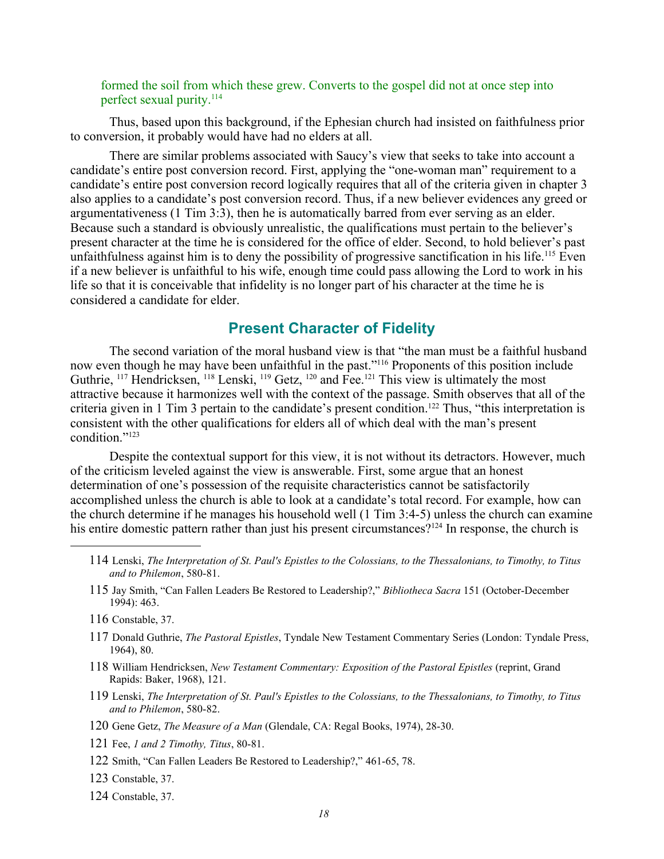#### formed the soil from which these grew. Converts to the gospel did not at once step into perfect sexual purity.<sup>[114](#page-19-0)</sup>

Thus, based upon this background, if the Ephesian church had insisted on faithfulness prior to conversion, it probably would have had no elders at all.

There are similar problems associated with Saucy's view that seeks to take into account a candidate's entire post conversion record. First, applying the "one-woman man" requirement to a candidate's entire post conversion record logically requires that all of the criteria given in chapter 3 also applies to a candidate's post conversion record. Thus, if a new believer evidences any greed or argumentativeness (1 Tim 3:3), then he is automatically barred from ever serving as an elder. Because such a standard is obviously unrealistic, the qualifications must pertain to the believer's present character at the time he is considered for the office of elder. Second, to hold believer's past unfaithfulness against him is to deny the possibility of progressive sanctification in his life.<sup>[115](#page-19-1)</sup> Even if a new believer is unfaithful to his wife, enough time could pass allowing the Lord to work in his life so that it is conceivable that infidelity is no longer part of his character at the time he is considered a candidate for elder.

# **Present Character of Fidelity**

The second variation of the moral husband view is that "the man must be a faithful husband now even though he may have been unfaithful in the past."<sup>[116](#page-19-2)</sup> Proponents of this position include Guthrie, <sup>[117](#page-19-3)</sup> Hendricksen, <sup>[118](#page-19-4)</sup> Lenski, <sup>[119](#page-19-5)</sup> Getz, <sup>[120](#page-19-6)</sup> and Fee.<sup>[121](#page-19-7)</sup> This view is ultimately the most attractive because it harmonizes well with the context of the passage. Smith observes that all of the criteria given in 1 Tim 3 pertain to the candidate's present condition.[122](#page-19-8) Thus, "this interpretation is consistent with the other qualifications for elders all of which deal with the man's present condition<sup>"[123](#page-19-9)</sup>

Despite the contextual support for this view, it is not without its detractors. However, much of the criticism leveled against the view is answerable. First, some argue that an honest determination of one's possession of the requisite characteristics cannot be satisfactorily accomplished unless the church is able to look at a candidate's total record. For example, how can the church determine if he manages his household well (1 Tim 3:4-5) unless the church can examine his entire domestic pattern rather than just his present circumstances?<sup>[124](#page-19-10)</sup> In response, the church is

- <span id="page-19-2"></span>116 Constable, 37.
- <span id="page-19-3"></span>117 Donald Guthrie, *The Pastoral Epistles*, Tyndale New Testament Commentary Series (London: Tyndale Press, 1964), 80.
- <span id="page-19-4"></span>118 William Hendricksen, *New Testament Commentary: Exposition of the Pastoral Epistles* (reprint, Grand Rapids: Baker, 1968), 121.
- <span id="page-19-5"></span>119 Lenski, *The Interpretation of St. Paul's Epistles to the Colossians, to the Thessalonians, to Timothy, to Titus and to Philemon*, 580-82.
- <span id="page-19-6"></span>120 Gene Getz, *The Measure of a Man* (Glendale, CA: Regal Books, 1974), 28-30.
- <span id="page-19-7"></span>121 Fee, *1 and 2 Timothy, Titus*, 80-81.
- <span id="page-19-8"></span>122 Smith, "Can Fallen Leaders Be Restored to Leadership?," 461-65, 78.
- <span id="page-19-9"></span>123 Constable, 37.
- <span id="page-19-10"></span>124 Constable, 37.

<span id="page-19-0"></span><sup>114</sup> Lenski, *The Interpretation of St. Paul's Epistles to the Colossians, to the Thessalonians, to Timothy, to Titus and to Philemon*, 580-81.

<span id="page-19-1"></span><sup>115</sup> Jay Smith, "Can Fallen Leaders Be Restored to Leadership?," *Bibliotheca Sacra* 151 (October-December 1994): 463.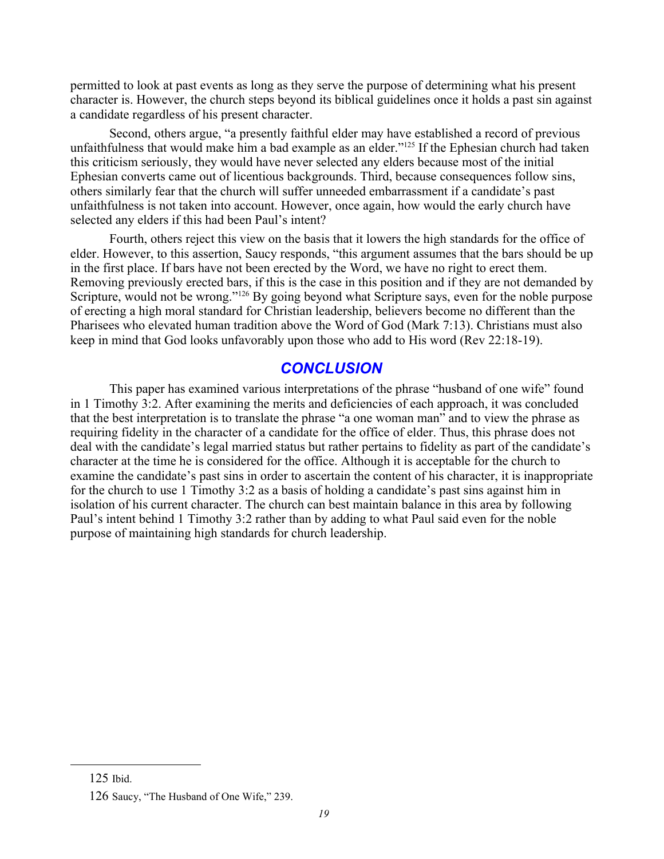permitted to look at past events as long as they serve the purpose of determining what his present character is. However, the church steps beyond its biblical guidelines once it holds a past sin against a candidate regardless of his present character.

Second, others argue, "a presently faithful elder may have established a record of previous unfaithfulness that would make him a bad example as an elder."<sup>[125](#page-20-0)</sup> If the Ephesian church had taken this criticism seriously, they would have never selected any elders because most of the initial Ephesian converts came out of licentious backgrounds. Third, because consequences follow sins, others similarly fear that the church will suffer unneeded embarrassment if a candidate's past unfaithfulness is not taken into account. However, once again, how would the early church have selected any elders if this had been Paul's intent?

Fourth, others reject this view on the basis that it lowers the high standards for the office of elder. However, to this assertion, Saucy responds, "this argument assumes that the bars should be up in the first place. If bars have not been erected by the Word, we have no right to erect them. Removing previously erected bars, if this is the case in this position and if they are not demanded by Scripture, would not be wrong."<sup>[126](#page-20-1)</sup> By going beyond what Scripture says, even for the noble purpose of erecting a high moral standard for Christian leadership, believers become no different than the Pharisees who elevated human tradition above the Word of God (Mark 7:13). Christians must also keep in mind that God looks unfavorably upon those who add to His word (Rev 22:18-19).

# *CONCLUSION*

This paper has examined various interpretations of the phrase "husband of one wife" found in 1 Timothy 3:2. After examining the merits and deficiencies of each approach, it was concluded that the best interpretation is to translate the phrase "a one woman man" and to view the phrase as requiring fidelity in the character of a candidate for the office of elder. Thus, this phrase does not deal with the candidate's legal married status but rather pertains to fidelity as part of the candidate's character at the time he is considered for the office. Although it is acceptable for the church to examine the candidate's past sins in order to ascertain the content of his character, it is inappropriate for the church to use 1 Timothy 3:2 as a basis of holding a candidate's past sins against him in isolation of his current character. The church can best maintain balance in this area by following Paul's intent behind 1 Timothy 3:2 rather than by adding to what Paul said even for the noble purpose of maintaining high standards for church leadership.

<span id="page-20-0"></span><sup>125</sup> Ibid.

<span id="page-20-1"></span><sup>126</sup> Saucy, "The Husband of One Wife," 239.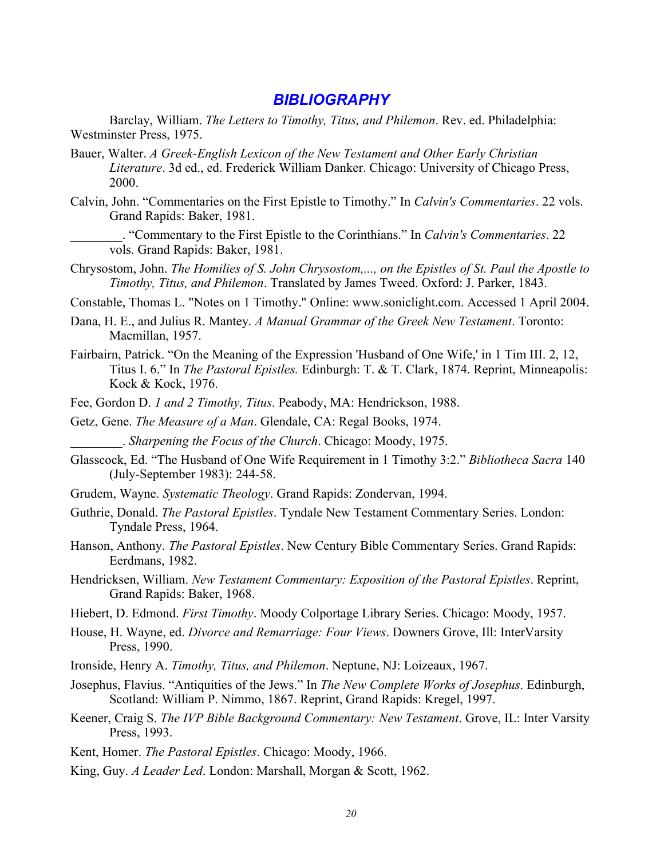#### *BIBLIOGRAPHY*

Barclay, William. *The Letters to Timothy, Titus, and Philemon*. Rev. ed. Philadelphia: Westminster Press, 1975.

- Bauer, Walter. *A Greek-English Lexicon of the New Testament and Other Early Christian Literature*. 3d ed., ed. Frederick William Danker. Chicago: University of Chicago Press, 2000.
- Calvin, John. "Commentaries on the First Epistle to Timothy." In *Calvin's Commentaries*. 22 vols. Grand Rapids: Baker, 1981.
- \_\_\_\_\_\_\_\_. "Commentary to the First Epistle to the Corinthians." In *Calvin's Commentaries*. 22 vols. Grand Rapids: Baker, 1981.
- Chrysostom, John. *The Homilies of S. John Chrysostom,..., on the Epistles of St. Paul the Apostle to Timothy, Titus, and Philemon*. Translated by James Tweed. Oxford: J. Parker, 1843.

Constable, Thomas L. "Notes on 1 Timothy." Online: www.soniclight.com. Accessed 1 April 2004.

- Dana, H. E., and Julius R. Mantey. *A Manual Grammar of the Greek New Testament*. Toronto: Macmillan, 1957.
- Fairbairn, Patrick. "On the Meaning of the Expression 'Husband of One Wife,' in 1 Tim III. 2, 12, Titus I. 6." In *The Pastoral Epistles.* Edinburgh: T. & T. Clark, 1874. Reprint, Minneapolis: Kock & Kock, 1976.
- Fee, Gordon D. *1 and 2 Timothy, Titus*. Peabody, MA: Hendrickson, 1988.
- Getz, Gene. *The Measure of a Man*. Glendale, CA: Regal Books, 1974.
	- \_\_\_\_\_\_\_\_. *Sharpening the Focus of the Church*. Chicago: Moody, 1975.
- Glasscock, Ed. "The Husband of One Wife Requirement in 1 Timothy 3:2." *Bibliotheca Sacra* 140 (July-September 1983): 244-58.
- Grudem, Wayne. *Systematic Theology*. Grand Rapids: Zondervan, 1994.
- Guthrie, Donald. *The Pastoral Epistles*. Tyndale New Testament Commentary Series. London: Tyndale Press, 1964.
- Hanson, Anthony. *The Pastoral Epistles*. New Century Bible Commentary Series. Grand Rapids: Eerdmans, 1982.
- Hendricksen, William. *New Testament Commentary: Exposition of the Pastoral Epistles*. Reprint, Grand Rapids: Baker, 1968.
- Hiebert, D. Edmond. *First Timothy*. Moody Colportage Library Series. Chicago: Moody, 1957.
- House, H. Wayne, ed. *Divorce and Remarriage: Four Views*. Downers Grove, Ill: InterVarsity Press, 1990.
- Ironside, Henry A. *Timothy, Titus, and Philemon*. Neptune, NJ: Loizeaux, 1967.
- Josephus, Flavius. "Antiquities of the Jews." In *The New Complete Works of Josephus*. Edinburgh, Scotland: William P. Nimmo, 1867. Reprint, Grand Rapids: Kregel, 1997.
- Keener, Craig S. *The IVP Bible Background Commentary: New Testament*. Grove, IL: Inter Varsity Press, 1993.
- Kent, Homer. *The Pastoral Epistles*. Chicago: Moody, 1966.
- King, Guy. *A Leader Led*. London: Marshall, Morgan & Scott, 1962.